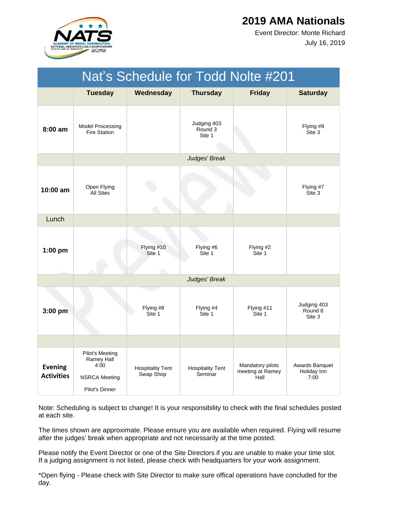

July 16, 2019 Event Director: Monte Richard

| Nat's Schedule for Todd Nolte #201  |                                                                                 |                                      |                                    |                                              |                                       |  |
|-------------------------------------|---------------------------------------------------------------------------------|--------------------------------------|------------------------------------|----------------------------------------------|---------------------------------------|--|
|                                     | <b>Tuesday</b>                                                                  | Wednesday                            | <b>Thursday</b>                    | <b>Friday</b>                                | <b>Saturday</b>                       |  |
| $8:00$ am                           | <b>Model Processing</b><br><b>Fire Station</b>                                  |                                      | Judging 403<br>Round 3<br>Site 1   |                                              | Flying #9<br>Site 3                   |  |
|                                     |                                                                                 |                                      | Judges' Break                      |                                              |                                       |  |
| $10:00$ am                          | Open Flying<br><b>All Sites</b>                                                 |                                      |                                    |                                              | Flying #7<br>Site 3                   |  |
| Lunch                               |                                                                                 |                                      |                                    |                                              |                                       |  |
| $1:00$ pm                           |                                                                                 | Flying #10<br>Site 1                 | Flying #6<br>Site 1                | Flying #2<br>Site 1                          |                                       |  |
|                                     |                                                                                 |                                      | Judges' Break                      |                                              |                                       |  |
| 3:00 pm                             |                                                                                 | Flying #8<br>Site 1                  | Flying #4<br>Site 1                | Flying #11<br>Site 1                         | Judging 403<br>Round 8<br>Site 3      |  |
|                                     |                                                                                 |                                      |                                    |                                              |                                       |  |
| <b>Evening</b><br><b>Activities</b> | Pilot's Meeting<br>Ramey Hall<br>4:00<br><b>NSRCA Meeting</b><br>Pilot's Dinner | <b>Hospitality Tent</b><br>Swap Shop | <b>Hospitality Tent</b><br>Seminar | Mandatory pilots<br>meeting at Ramey<br>Hall | Awards Banquet<br>Holiday Inn<br>7:00 |  |

Note: Scheduling is subject to change! It is your responsibility to check with the final schedules posted at each site.

The times shown are approximate. Please ensure you are available when required. Flying will resume after the judges' break when appropriate and not necessarily at the time posted.

Please notify the Event Director or one of the Site Directors if you are unable to make your time slot. If a judging assignment is not listed, please check with headquarters for your work assignment.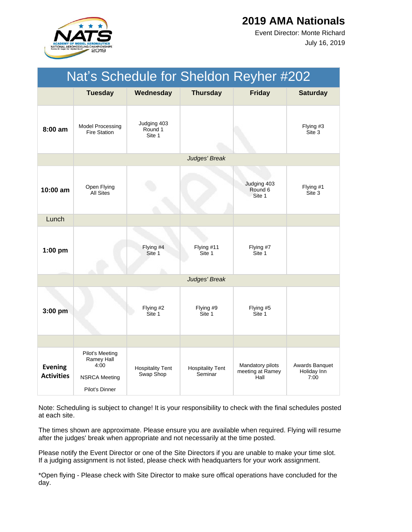

July 16, 2019 Event Director: Monte Richard

| Nat's Schedule for Sheldon Reyher #202 |                                                                                        |                                      |                                    |                                              |                                       |  |
|----------------------------------------|----------------------------------------------------------------------------------------|--------------------------------------|------------------------------------|----------------------------------------------|---------------------------------------|--|
|                                        | <b>Tuesday</b>                                                                         | Wednesday                            | <b>Thursday</b>                    | <b>Friday</b>                                | <b>Saturday</b>                       |  |
| $8:00$ am                              | <b>Model Processing</b><br><b>Fire Station</b>                                         | Judging 403<br>Round 1<br>Site 1     |                                    |                                              | Flying #3<br>Site 3                   |  |
|                                        |                                                                                        |                                      | Judges' Break                      |                                              |                                       |  |
| 10:00 am                               | Open Flying<br><b>All Sites</b>                                                        |                                      |                                    | Judging 403<br>Round 6<br>Site 1             | Flying #1<br>Site 3                   |  |
| Lunch                                  |                                                                                        |                                      |                                    |                                              |                                       |  |
| $1:00$ pm                              |                                                                                        | Flying #4<br>Site 1                  | Flying #11<br>Site 1               | Flying #7<br>Site 1                          |                                       |  |
|                                        |                                                                                        |                                      | Judges' Break                      |                                              |                                       |  |
| $3:00$ pm                              |                                                                                        | Flying #2<br>Site 1                  | Flying #9<br>Site 1                | Flying #5<br>Site 1                          |                                       |  |
|                                        |                                                                                        |                                      |                                    |                                              |                                       |  |
| <b>Evening</b><br><b>Activities</b>    | <b>Pilot's Meeting</b><br>Ramey Hall<br>4:00<br><b>NSRCA Meeting</b><br>Pilot's Dinner | <b>Hospitality Tent</b><br>Swap Shop | <b>Hospitality Tent</b><br>Seminar | Mandatory pilots<br>meeting at Ramey<br>Hall | Awards Banquet<br>Holiday Inn<br>7:00 |  |

Note: Scheduling is subject to change! It is your responsibility to check with the final schedules posted at each site.

The times shown are approximate. Please ensure you are available when required. Flying will resume after the judges' break when appropriate and not necessarily at the time posted.

Please notify the Event Director or one of the Site Directors if you are unable to make your time slot. If a judging assignment is not listed, please check with headquarters for your work assignment.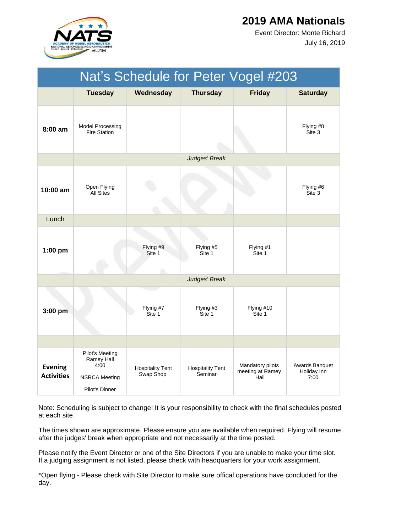

July 16, 2019 Event Director: Monte Richard

| Nat's Schedule for Peter Vogel #203 |                                                                                 |                                      |                                    |                                              |                                       |  |
|-------------------------------------|---------------------------------------------------------------------------------|--------------------------------------|------------------------------------|----------------------------------------------|---------------------------------------|--|
|                                     | <b>Tuesday</b>                                                                  | Wednesday                            | <b>Thursday</b>                    | <b>Friday</b>                                | <b>Saturday</b>                       |  |
| 8:00 am                             | <b>Model Processing</b><br><b>Fire Station</b>                                  |                                      |                                    |                                              | Flying #8<br>Site 3                   |  |
|                                     |                                                                                 |                                      | Judges' Break                      |                                              |                                       |  |
| $10:00$ am                          | Open Flying<br><b>All Sites</b>                                                 |                                      |                                    |                                              | Flying #6<br>Site 3                   |  |
| Lunch                               |                                                                                 |                                      |                                    |                                              |                                       |  |
| $1:00$ pm                           |                                                                                 | Flying #9<br>Site 1                  | Flying #5<br>Site 1                | Flying #1<br>Site 1                          |                                       |  |
|                                     |                                                                                 |                                      | Judges' Break                      |                                              |                                       |  |
| $3:00$ pm                           |                                                                                 | Flying #7<br>Site 1                  | Flying #3<br>Site 1                | Flying #10<br>Site 1                         |                                       |  |
|                                     |                                                                                 |                                      |                                    |                                              |                                       |  |
| <b>Evening</b><br><b>Activities</b> | Pilot's Meeting<br>Ramey Hall<br>4:00<br><b>NSRCA Meeting</b><br>Pilot's Dinner | <b>Hospitality Tent</b><br>Swap Shop | <b>Hospitality Tent</b><br>Seminar | Mandatory pilots<br>meeting at Ramey<br>Hall | Awards Banquet<br>Holiday Inn<br>7:00 |  |

Note: Scheduling is subject to change! It is your responsibility to check with the final schedules posted at each site.

The times shown are approximate. Please ensure you are available when required. Flying will resume after the judges' break when appropriate and not necessarily at the time posted.

Please notify the Event Director or one of the Site Directors if you are unable to make your time slot. If a judging assignment is not listed, please check with headquarters for your work assignment.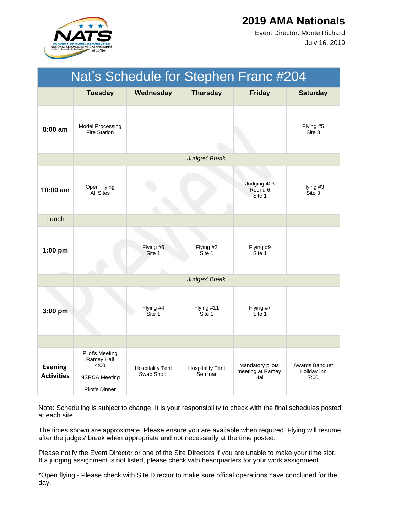

July 16, 2019 Event Director: Monte Richard

| Nat's Schedule for Stephen Franc #204 |                                                                                 |                                      |                                    |                                              |                                       |  |
|---------------------------------------|---------------------------------------------------------------------------------|--------------------------------------|------------------------------------|----------------------------------------------|---------------------------------------|--|
|                                       | <b>Tuesday</b>                                                                  | Wednesday                            | <b>Thursday</b>                    | <b>Friday</b>                                | <b>Saturday</b>                       |  |
| $8:00$ am                             | <b>Model Processing</b><br><b>Fire Station</b>                                  |                                      |                                    |                                              | Flying #5<br>Site 3                   |  |
|                                       |                                                                                 |                                      | Judges' Break                      |                                              |                                       |  |
| $10:00 \text{ am}$                    | Open Flying<br><b>All Sites</b>                                                 |                                      |                                    | Judging 403<br>Round 6<br>Site 1             | Flying #3<br>Site 3                   |  |
| Lunch                                 |                                                                                 |                                      |                                    |                                              |                                       |  |
| $1:00$ pm                             |                                                                                 | Flying #6<br>Site 1                  | Flying #2<br>Site 1                | Flying #9<br>Site 1                          |                                       |  |
|                                       |                                                                                 |                                      | Judges' Break                      |                                              |                                       |  |
| $3:00$ pm                             |                                                                                 | Flying #4<br>Site 1                  | Flying #11<br>Site 1               | Flying #7<br>Site 1                          |                                       |  |
|                                       |                                                                                 |                                      |                                    |                                              |                                       |  |
| <b>Evening</b><br><b>Activities</b>   | Pilot's Meeting<br>Ramey Hall<br>4:00<br><b>NSRCA Meeting</b><br>Pilot's Dinner | <b>Hospitality Tent</b><br>Swap Shop | <b>Hospitality Tent</b><br>Seminar | Mandatory pilots<br>meeting at Ramey<br>Hall | Awards Banquet<br>Holiday Inn<br>7:00 |  |

Note: Scheduling is subject to change! It is your responsibility to check with the final schedules posted at each site.

The times shown are approximate. Please ensure you are available when required. Flying will resume after the judges' break when appropriate and not necessarily at the time posted.

Please notify the Event Director or one of the Site Directors if you are unable to make your time slot. If a judging assignment is not listed, please check with headquarters for your work assignment.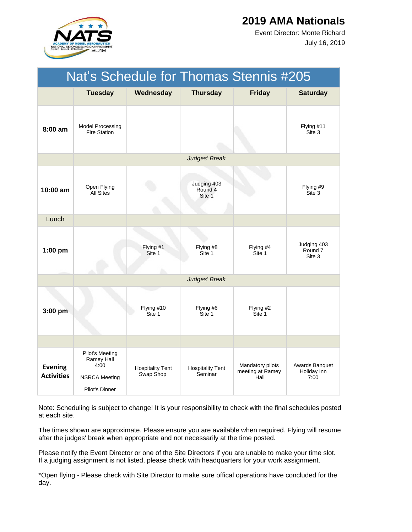

July 16, 2019 Event Director: Monte Richard

| Nat's Schedule for Thomas Stennis #205 |                                                                                 |                                      |                                    |                                              |                                       |  |
|----------------------------------------|---------------------------------------------------------------------------------|--------------------------------------|------------------------------------|----------------------------------------------|---------------------------------------|--|
|                                        | <b>Tuesday</b>                                                                  | Wednesday                            | <b>Thursday</b>                    | <b>Friday</b>                                | <b>Saturday</b>                       |  |
| $8:00$ am                              | Model Processing<br><b>Fire Station</b>                                         |                                      |                                    |                                              | Flying #11<br>Site 3                  |  |
|                                        |                                                                                 |                                      | Judges' Break                      |                                              |                                       |  |
| 10:00 am                               | Open Flying<br><b>All Sites</b>                                                 |                                      | Judging 403<br>Round 4<br>Site 1   |                                              | Flying #9<br>Site 3                   |  |
| Lunch                                  |                                                                                 |                                      |                                    |                                              |                                       |  |
| $1:00$ pm                              |                                                                                 | Flying #1<br>Site 1                  | Flying #8<br>Site 1                | Flying #4<br>Site 1                          | Judging 403<br>Round 7<br>Site 3      |  |
|                                        |                                                                                 |                                      | Judges' Break                      |                                              |                                       |  |
| 3:00 pm                                |                                                                                 | Flying #10<br>Site 1                 | Flying #6<br>Site 1                | Flying #2<br>Site 1                          |                                       |  |
|                                        |                                                                                 |                                      |                                    |                                              |                                       |  |
| <b>Evening</b><br><b>Activities</b>    | Pilot's Meeting<br>Ramey Hall<br>4:00<br><b>NSRCA Meeting</b><br>Pilot's Dinner | <b>Hospitality Tent</b><br>Swap Shop | <b>Hospitality Tent</b><br>Seminar | Mandatory pilots<br>meeting at Ramey<br>Hall | Awards Banquet<br>Holiday Inn<br>7:00 |  |

Note: Scheduling is subject to change! It is your responsibility to check with the final schedules posted at each site.

The times shown are approximate. Please ensure you are available when required. Flying will resume after the judges' break when appropriate and not necessarily at the time posted.

Please notify the Event Director or one of the Site Directors if you are unable to make your time slot. If a judging assignment is not listed, please check with headquarters for your work assignment.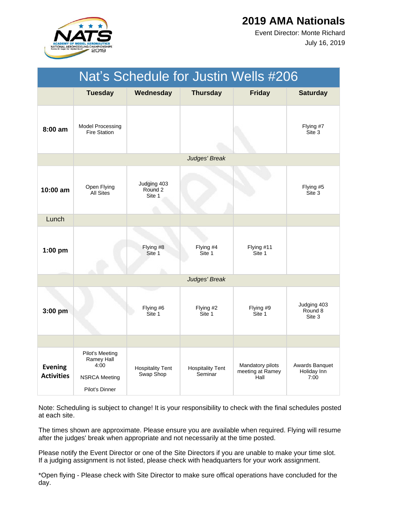

July 16, 2019 Event Director: Monte Richard

| Nat's Schedule for Justin Wells #206 |                                                                                 |                                      |                                    |                                              |                                       |  |  |
|--------------------------------------|---------------------------------------------------------------------------------|--------------------------------------|------------------------------------|----------------------------------------------|---------------------------------------|--|--|
|                                      | <b>Tuesday</b>                                                                  | Wednesday                            | <b>Thursday</b>                    | <b>Friday</b>                                | <b>Saturday</b>                       |  |  |
| $8:00$ am                            | <b>Model Processing</b><br><b>Fire Station</b>                                  |                                      |                                    |                                              | Flying #7<br>Site 3                   |  |  |
|                                      |                                                                                 |                                      | Judges' Break                      |                                              |                                       |  |  |
| $10:00$ am                           | Open Flying<br><b>All Sites</b>                                                 | Judging 403<br>Round 2<br>Site 1     |                                    |                                              | Flying #5<br>Site 3                   |  |  |
| Lunch                                |                                                                                 |                                      |                                    |                                              |                                       |  |  |
| $1:00$ pm                            |                                                                                 | Flying #8<br>Site 1                  | Flying #4<br>Site 1                | Flying #11<br>Site 1                         |                                       |  |  |
|                                      |                                                                                 |                                      | Judges' Break                      |                                              |                                       |  |  |
| $3:00$ pm                            |                                                                                 | Flying #6<br>Site 1                  | Flying #2<br>Site 1                | Flying #9<br>Site 1                          | Judging 403<br>Round 8<br>Site 3      |  |  |
|                                      |                                                                                 |                                      |                                    |                                              |                                       |  |  |
| <b>Evening</b><br><b>Activities</b>  | Pilot's Meeting<br>Ramey Hall<br>4:00<br><b>NSRCA Meeting</b><br>Pilot's Dinner | <b>Hospitality Tent</b><br>Swap Shop | <b>Hospitality Tent</b><br>Seminar | Mandatory pilots<br>meeting at Ramey<br>Hall | Awards Banquet<br>Holiday Inn<br>7:00 |  |  |

Note: Scheduling is subject to change! It is your responsibility to check with the final schedules posted at each site.

The times shown are approximate. Please ensure you are available when required. Flying will resume after the judges' break when appropriate and not necessarily at the time posted.

Please notify the Event Director or one of the Site Directors if you are unable to make your time slot. If a judging assignment is not listed, please check with headquarters for your work assignment.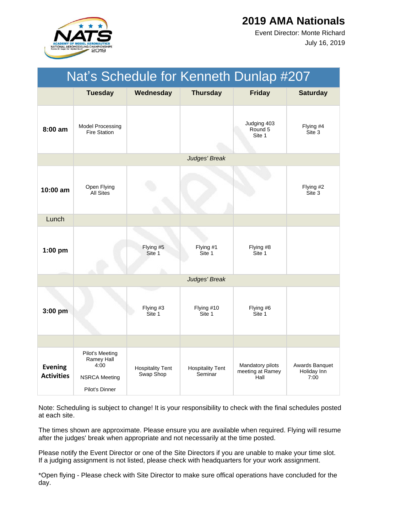

July 16, 2019 Event Director: Monte Richard

| Nat's Schedule for Kenneth Dunlap #207 |                                                                                 |                                      |                                    |                                              |                                       |  |
|----------------------------------------|---------------------------------------------------------------------------------|--------------------------------------|------------------------------------|----------------------------------------------|---------------------------------------|--|
|                                        | <b>Tuesday</b>                                                                  | Wednesday                            | <b>Thursday</b>                    | <b>Friday</b>                                | <b>Saturday</b>                       |  |
| $8:00$ am                              | <b>Model Processing</b><br><b>Fire Station</b>                                  |                                      |                                    | Judging 403<br>Round 5<br>Site 1             | Flying #4<br>Site 3                   |  |
|                                        |                                                                                 |                                      | Judges' Break                      |                                              |                                       |  |
| 10:00 am                               | Open Flying<br><b>All Sites</b>                                                 |                                      |                                    |                                              | Flying #2<br>Site 3                   |  |
| Lunch                                  |                                                                                 |                                      |                                    |                                              |                                       |  |
| $1:00$ pm                              |                                                                                 | Flying #5<br>Site 1                  | Flying #1<br>Site 1                | Flying #8<br>Site 1                          |                                       |  |
|                                        |                                                                                 |                                      | Judges' Break                      |                                              |                                       |  |
| 3:00 pm                                |                                                                                 | Flying #3<br>Site 1                  | Flying #10<br>Site 1               | Flying #6<br>Site 1                          |                                       |  |
|                                        |                                                                                 |                                      |                                    |                                              |                                       |  |
| <b>Evening</b><br><b>Activities</b>    | Pilot's Meeting<br>Ramey Hall<br>4:00<br><b>NSRCA Meeting</b><br>Pilot's Dinner | <b>Hospitality Tent</b><br>Swap Shop | <b>Hospitality Tent</b><br>Seminar | Mandatory pilots<br>meeting at Ramey<br>Hall | Awards Banquet<br>Holiday Inn<br>7:00 |  |

Note: Scheduling is subject to change! It is your responsibility to check with the final schedules posted at each site.

The times shown are approximate. Please ensure you are available when required. Flying will resume after the judges' break when appropriate and not necessarily at the time posted.

Please notify the Event Director or one of the Site Directors if you are unable to make your time slot. If a judging assignment is not listed, please check with headquarters for your work assignment.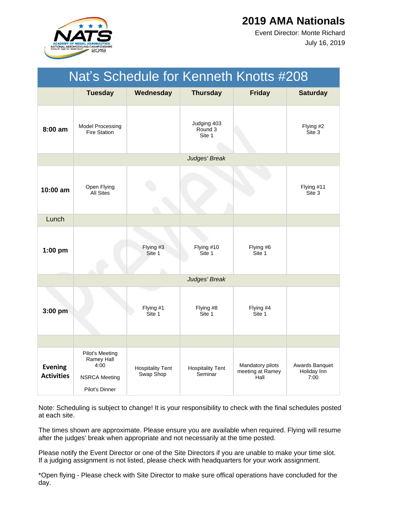

July 16, 2019 Event Director: Monte Richard

| Nat's Schedule for Kenneth Knotts #208 |                                                                                 |                                      |                                    |                                              |                                       |  |
|----------------------------------------|---------------------------------------------------------------------------------|--------------------------------------|------------------------------------|----------------------------------------------|---------------------------------------|--|
|                                        | <b>Tuesday</b>                                                                  | Wednesday                            | <b>Thursday</b>                    | <b>Friday</b>                                | <b>Saturday</b>                       |  |
| 8:00 am                                | Model Processing<br><b>Fire Station</b>                                         |                                      | Judging 403<br>Round 3<br>Site 1   |                                              | Flying #2<br>Site 3                   |  |
|                                        |                                                                                 |                                      | Judges' Break                      |                                              |                                       |  |
| $10:00$ am                             | Open Flying<br><b>All Sites</b>                                                 |                                      |                                    |                                              | Flying #11<br>Site 3                  |  |
| Lunch                                  |                                                                                 |                                      |                                    |                                              |                                       |  |
| $1:00$ pm                              |                                                                                 | Flying #3<br>Site 1                  | Flying #10<br>Site 1               | Flying #6<br>Site 1                          |                                       |  |
|                                        |                                                                                 |                                      | Judges' Break                      |                                              |                                       |  |
| 3:00 pm                                |                                                                                 | Flying #1<br>Site 1                  | Flying #8<br>Site 1                | Flying #4<br>Site 1                          |                                       |  |
|                                        |                                                                                 |                                      |                                    |                                              |                                       |  |
| <b>Evening</b><br><b>Activities</b>    | Pilot's Meeting<br>Ramey Hall<br>4:00<br><b>NSRCA Meeting</b><br>Pilot's Dinner | <b>Hospitality Tent</b><br>Swap Shop | <b>Hospitality Tent</b><br>Seminar | Mandatory pilots<br>meeting at Ramey<br>Hall | Awards Banquet<br>Holiday Inn<br>7:00 |  |

Note: Scheduling is subject to change! It is your responsibility to check with the final schedules posted at each site.

The times shown are approximate. Please ensure you are available when required. Flying will resume after the judges' break when appropriate and not necessarily at the time posted.

Please notify the Event Director or one of the Site Directors if you are unable to make your time slot. If a judging assignment is not listed, please check with headquarters for your work assignment.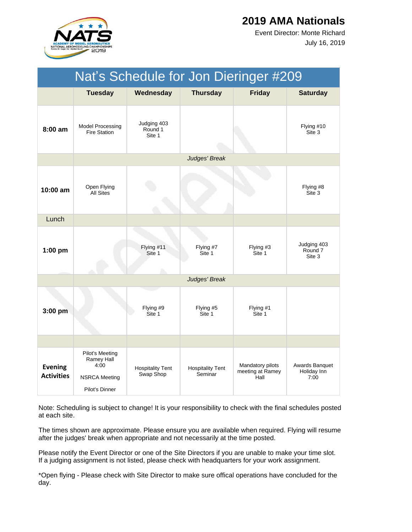

July 16, 2019 Event Director: Monte Richard

| Nat's Schedule for Jon Dieringer #209 |                                                                                 |                                      |                                    |                                              |                                       |  |  |
|---------------------------------------|---------------------------------------------------------------------------------|--------------------------------------|------------------------------------|----------------------------------------------|---------------------------------------|--|--|
|                                       | <b>Tuesday</b>                                                                  | Wednesday                            | <b>Thursday</b>                    | <b>Friday</b>                                | <b>Saturday</b>                       |  |  |
| 8:00 am                               | <b>Model Processing</b><br><b>Fire Station</b>                                  | Judging 403<br>Round 1<br>Site 1     |                                    |                                              | Flying #10<br>Site 3                  |  |  |
|                                       |                                                                                 |                                      | Judges' Break                      |                                              |                                       |  |  |
| $10:00$ am                            | Open Flying<br><b>All Sites</b>                                                 |                                      |                                    |                                              | Flying #8<br>Site 3                   |  |  |
| Lunch                                 |                                                                                 |                                      |                                    |                                              |                                       |  |  |
| $1:00$ pm                             |                                                                                 | Flying #11<br>Site 1                 | Flying #7<br>Site 1                | Flying #3<br>Site 1                          | Judging 403<br>Round 7<br>Site 3      |  |  |
|                                       |                                                                                 |                                      | Judges' Break                      |                                              |                                       |  |  |
| $3:00$ pm                             |                                                                                 | Flying #9<br>Site 1                  | Flying #5<br>Site 1                | Flying #1<br>Site 1                          |                                       |  |  |
|                                       |                                                                                 |                                      |                                    |                                              |                                       |  |  |
| <b>Evening</b><br><b>Activities</b>   | Pilot's Meeting<br>Ramey Hall<br>4:00<br><b>NSRCA Meeting</b><br>Pilot's Dinner | <b>Hospitality Tent</b><br>Swap Shop | <b>Hospitality Tent</b><br>Seminar | Mandatory pilots<br>meeting at Ramey<br>Hall | Awards Banquet<br>Holiday Inn<br>7:00 |  |  |

Note: Scheduling is subject to change! It is your responsibility to check with the final schedules posted at each site.

The times shown are approximate. Please ensure you are available when required. Flying will resume after the judges' break when appropriate and not necessarily at the time posted.

Please notify the Event Director or one of the Site Directors if you are unable to make your time slot. If a judging assignment is not listed, please check with headquarters for your work assignment.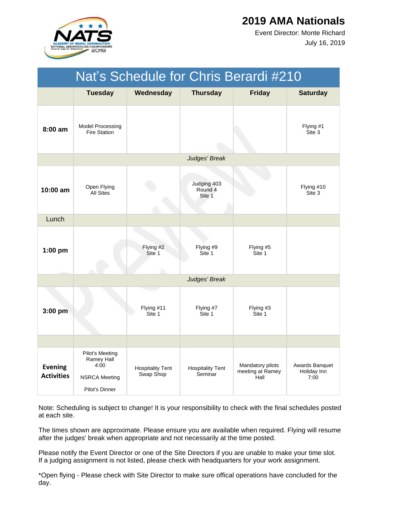

July 16, 2019 Event Director: Monte Richard

|                                     | Nat's Schedule for Chris Berardi #210                                           |                                      |                                    |                                              |                                       |  |  |
|-------------------------------------|---------------------------------------------------------------------------------|--------------------------------------|------------------------------------|----------------------------------------------|---------------------------------------|--|--|
|                                     | <b>Tuesday</b>                                                                  | Wednesday                            | <b>Thursday</b>                    | <b>Friday</b>                                | <b>Saturday</b>                       |  |  |
| 8:00 am                             | <b>Model Processing</b><br><b>Fire Station</b>                                  |                                      |                                    |                                              | Flying #1<br>Site 3                   |  |  |
|                                     |                                                                                 |                                      | Judges' Break                      |                                              |                                       |  |  |
| $10:00$ am                          | Open Flying<br><b>All Sites</b>                                                 |                                      | Judging 403<br>Round 4<br>Site 1   |                                              | Flying #10<br>Site 3                  |  |  |
| Lunch                               |                                                                                 |                                      |                                    |                                              |                                       |  |  |
| $1:00$ pm                           |                                                                                 | Flying #2<br>Site 1                  | Flying #9<br>Site 1                | Flying #5<br>Site 1                          |                                       |  |  |
|                                     |                                                                                 |                                      | Judges' Break                      |                                              |                                       |  |  |
| 3:00 pm                             |                                                                                 | Flying #11<br>Site 1                 | Flying #7<br>Site 1                | Flying #3<br>Site 1                          |                                       |  |  |
|                                     |                                                                                 |                                      |                                    |                                              |                                       |  |  |
| <b>Evening</b><br><b>Activities</b> | Pilot's Meeting<br>Ramey Hall<br>4:00<br><b>NSRCA Meeting</b><br>Pilot's Dinner | <b>Hospitality Tent</b><br>Swap Shop | <b>Hospitality Tent</b><br>Seminar | Mandatory pilots<br>meeting at Ramey<br>Hall | Awards Banquet<br>Holiday Inn<br>7:00 |  |  |

Note: Scheduling is subject to change! It is your responsibility to check with the final schedules posted at each site.

The times shown are approximate. Please ensure you are available when required. Flying will resume after the judges' break when appropriate and not necessarily at the time posted.

Please notify the Event Director or one of the Site Directors if you are unable to make your time slot. If a judging assignment is not listed, please check with headquarters for your work assignment.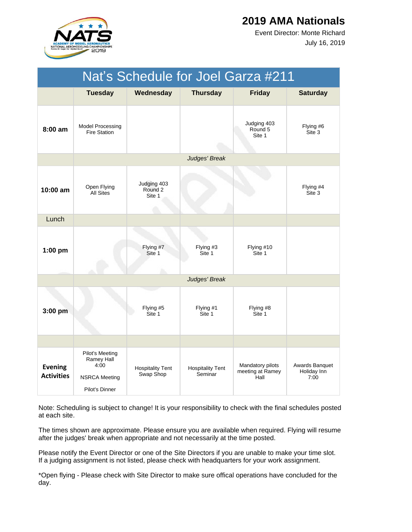

July 16, 2019 Event Director: Monte Richard

| Nat's Schedule for Joel Garza #211  |                                                                                        |                                      |                                    |                                              |                                       |  |  |
|-------------------------------------|----------------------------------------------------------------------------------------|--------------------------------------|------------------------------------|----------------------------------------------|---------------------------------------|--|--|
|                                     | <b>Tuesday</b>                                                                         | Wednesday                            | <b>Thursday</b>                    | <b>Friday</b>                                | <b>Saturday</b>                       |  |  |
| 8:00 am                             | Model Processing<br><b>Fire Station</b>                                                |                                      |                                    | Judging 403<br>Round 5<br>Site 1             | Flying #6<br>Site 3                   |  |  |
|                                     |                                                                                        |                                      | Judges' Break                      |                                              |                                       |  |  |
| $10:00$ am                          | Open Flying<br><b>All Sites</b>                                                        | Judging 403<br>Round 2<br>Site 1     |                                    |                                              | Flying #4<br>Site 3                   |  |  |
| Lunch                               |                                                                                        |                                      |                                    |                                              |                                       |  |  |
| $1:00$ pm                           |                                                                                        | Flying #7<br>Site 1                  | Flying #3<br>Site 1                | Flying #10<br>Site 1                         |                                       |  |  |
|                                     |                                                                                        |                                      | Judges' Break                      |                                              |                                       |  |  |
| 3:00 pm                             |                                                                                        | Flying #5<br>Site 1                  | Flying #1<br>Site 1                | Flying #8<br>Site 1                          |                                       |  |  |
|                                     |                                                                                        |                                      |                                    |                                              |                                       |  |  |
| <b>Evening</b><br><b>Activities</b> | <b>Pilot's Meeting</b><br>Ramey Hall<br>4:00<br><b>NSRCA Meeting</b><br>Pilot's Dinner | <b>Hospitality Tent</b><br>Swap Shop | <b>Hospitality Tent</b><br>Seminar | Mandatory pilots<br>meeting at Ramey<br>Hall | Awards Banquet<br>Holiday Inn<br>7:00 |  |  |

Note: Scheduling is subject to change! It is your responsibility to check with the final schedules posted at each site.

The times shown are approximate. Please ensure you are available when required. Flying will resume after the judges' break when appropriate and not necessarily at the time posted.

Please notify the Event Director or one of the Site Directors if you are unable to make your time slot. If a judging assignment is not listed, please check with headquarters for your work assignment.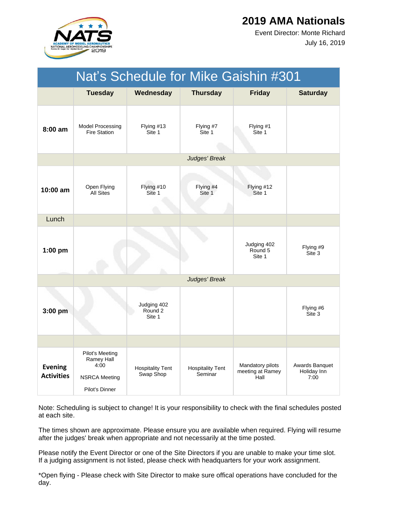

July 16, 2019 Event Director: Monte Richard

|                                     | Nat's Schedule for Mike Gaishin #301                                            |                                      |                                    |                                              |                                       |  |
|-------------------------------------|---------------------------------------------------------------------------------|--------------------------------------|------------------------------------|----------------------------------------------|---------------------------------------|--|
|                                     | <b>Tuesday</b>                                                                  | Wednesday                            | <b>Thursday</b>                    | <b>Friday</b>                                | <b>Saturday</b>                       |  |
| $8:00 \text{ am}$                   | <b>Model Processing</b><br><b>Fire Station</b>                                  | Flying #13<br>Site 1                 | Flying #7<br>Site 1                | Flying #1<br>Site 1                          |                                       |  |
|                                     |                                                                                 |                                      | Judges' Break                      |                                              |                                       |  |
| 10:00 am                            | Open Flying<br><b>All Sites</b>                                                 | Flying #10<br>Site 1                 | Flying #4<br>Site 1                | Flying #12<br>Site 1                         |                                       |  |
| Lunch                               |                                                                                 |                                      |                                    |                                              |                                       |  |
| $1:00$ pm                           |                                                                                 |                                      |                                    | Judging 402<br>Round 5<br>Site 1             | Flying #9<br>Site 3                   |  |
|                                     |                                                                                 |                                      | Judges' Break                      |                                              |                                       |  |
| $3:00$ pm                           |                                                                                 | Judging 402<br>Round 2<br>Site 1     |                                    |                                              | Flying #6<br>Site 3                   |  |
|                                     |                                                                                 |                                      |                                    |                                              |                                       |  |
| <b>Evening</b><br><b>Activities</b> | Pilot's Meeting<br>Ramey Hall<br>4:00<br><b>NSRCA Meeting</b><br>Pilot's Dinner | <b>Hospitality Tent</b><br>Swap Shop | <b>Hospitality Tent</b><br>Seminar | Mandatory pilots<br>meeting at Ramey<br>Hall | Awards Banquet<br>Holiday Inn<br>7:00 |  |

Note: Scheduling is subject to change! It is your responsibility to check with the final schedules posted at each site.

The times shown are approximate. Please ensure you are available when required. Flying will resume after the judges' break when appropriate and not necessarily at the time posted.

Please notify the Event Director or one of the Site Directors if you are unable to make your time slot. If a judging assignment is not listed, please check with headquarters for your work assignment.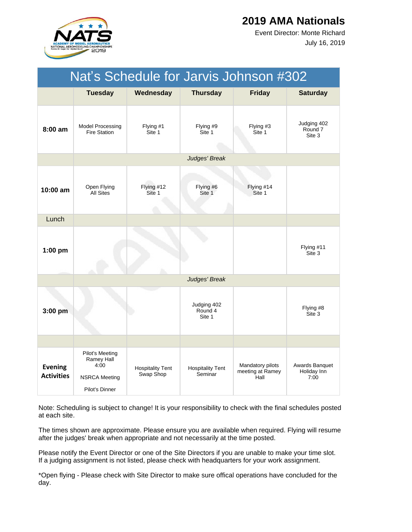

July 16, 2019 Event Director: Monte Richard

| Nat's Schedule for Jarvis Johnson #302 |                                                                                        |                                      |                                    |                                              |                                       |  |
|----------------------------------------|----------------------------------------------------------------------------------------|--------------------------------------|------------------------------------|----------------------------------------------|---------------------------------------|--|
|                                        | <b>Tuesday</b>                                                                         | Wednesday                            | <b>Thursday</b>                    | <b>Friday</b>                                | <b>Saturday</b>                       |  |
| 8:00 am                                | Model Processing<br><b>Fire Station</b>                                                | Flying #1<br>Site 1                  | Flying #9<br>Site 1                | Flying #3<br>Site 1                          | Judging 402<br>Round 7<br>Site 3      |  |
|                                        |                                                                                        |                                      | Judges' Break                      |                                              |                                       |  |
| 10:00 am                               | Open Flying<br><b>All Sites</b>                                                        | Flying #12<br>Site 1                 | Flying #6<br>Site 1                | Flying #14<br>Site 1                         |                                       |  |
| Lunch                                  |                                                                                        |                                      |                                    |                                              |                                       |  |
| $1:00$ pm                              |                                                                                        |                                      |                                    |                                              | Flying #11<br>Site 3                  |  |
|                                        |                                                                                        |                                      | Judges' Break                      |                                              |                                       |  |
| 3:00 pm                                |                                                                                        |                                      | Judging 402<br>Round 4<br>Site 1   |                                              | Flying #8<br>Site 3                   |  |
|                                        |                                                                                        |                                      |                                    |                                              |                                       |  |
| <b>Evening</b><br><b>Activities</b>    | <b>Pilot's Meeting</b><br>Ramey Hall<br>4:00<br><b>NSRCA Meeting</b><br>Pilot's Dinner | <b>Hospitality Tent</b><br>Swap Shop | <b>Hospitality Tent</b><br>Seminar | Mandatory pilots<br>meeting at Ramey<br>Hall | Awards Banquet<br>Holiday Inn<br>7:00 |  |

Note: Scheduling is subject to change! It is your responsibility to check with the final schedules posted at each site.

The times shown are approximate. Please ensure you are available when required. Flying will resume after the judges' break when appropriate and not necessarily at the time posted.

Please notify the Event Director or one of the Site Directors if you are unable to make your time slot. If a judging assignment is not listed, please check with headquarters for your work assignment.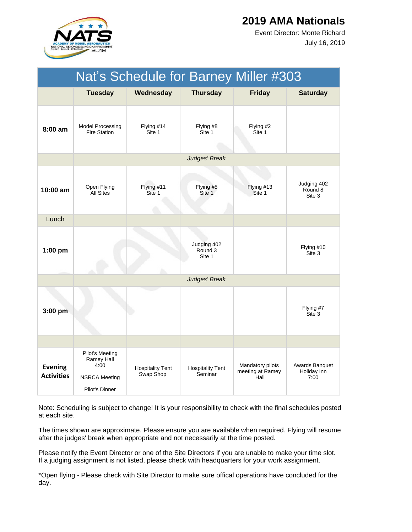

July 16, 2019 Event Director: Monte Richard

|                                     | Nat's Schedule for Barney Miller #303                                           |                                      |                                    |                                              |                                       |  |  |
|-------------------------------------|---------------------------------------------------------------------------------|--------------------------------------|------------------------------------|----------------------------------------------|---------------------------------------|--|--|
|                                     | <b>Tuesday</b>                                                                  | Wednesday                            | <b>Thursday</b>                    | <b>Friday</b>                                | <b>Saturday</b>                       |  |  |
| $8:00$ am                           | <b>Model Processing</b><br><b>Fire Station</b>                                  | Flying #14<br>Site 1                 | Flying #8<br>Site 1                | Flying #2<br>Site 1                          |                                       |  |  |
|                                     |                                                                                 |                                      | Judges' Break                      |                                              |                                       |  |  |
| 10:00 am                            | Open Flying<br><b>All Sites</b>                                                 | Flying #11<br>Site 1                 | Flying #5<br>Site 1                | Flying #13<br>Site 1                         | Judging 402<br>Round 8<br>Site 3      |  |  |
| Lunch                               |                                                                                 |                                      |                                    |                                              |                                       |  |  |
| $1:00$ pm                           |                                                                                 |                                      | Judging 402<br>Round 3<br>Site 1   |                                              | Flying #10<br>Site 3                  |  |  |
|                                     |                                                                                 |                                      | Judges' Break                      |                                              |                                       |  |  |
| 3:00 pm                             |                                                                                 |                                      |                                    |                                              | Flying #7<br>Site 3                   |  |  |
|                                     |                                                                                 |                                      |                                    |                                              |                                       |  |  |
| <b>Evening</b><br><b>Activities</b> | Pilot's Meeting<br>Ramey Hall<br>4:00<br><b>NSRCA Meeting</b><br>Pilot's Dinner | <b>Hospitality Tent</b><br>Swap Shop | <b>Hospitality Tent</b><br>Seminar | Mandatory pilots<br>meeting at Ramey<br>Hall | Awards Banquet<br>Holiday Inn<br>7:00 |  |  |

Note: Scheduling is subject to change! It is your responsibility to check with the final schedules posted at each site.

The times shown are approximate. Please ensure you are available when required. Flying will resume after the judges' break when appropriate and not necessarily at the time posted.

Please notify the Event Director or one of the Site Directors if you are unable to make your time slot. If a judging assignment is not listed, please check with headquarters for your work assignment.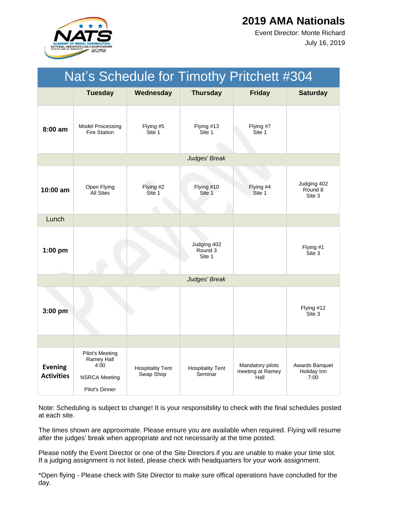

July 16, 2019 Event Director: Monte Richard

| Nat's Schedule for Timothy Pritchett #304 |                                                                                 |                                      |                                    |                                              |                                       |
|-------------------------------------------|---------------------------------------------------------------------------------|--------------------------------------|------------------------------------|----------------------------------------------|---------------------------------------|
|                                           | <b>Tuesday</b>                                                                  | Wednesday                            | <b>Thursday</b>                    | <b>Friday</b>                                | <b>Saturday</b>                       |
| 8:00 am                                   | Model Processing<br><b>Fire Station</b>                                         | Flying #5<br>Site 1                  | Flying #13<br>Site 1               | Flying #7<br>Site 1                          |                                       |
|                                           |                                                                                 |                                      | Judges' Break                      |                                              |                                       |
| 10:00 am                                  | Open Flying<br><b>All Sites</b>                                                 | Flying #2<br>Site 1                  | Flying #10<br>Site 1               | Flying #4<br>Site 1                          | Judging 402<br>Round 8<br>Site 3      |
| Lunch                                     |                                                                                 |                                      |                                    |                                              |                                       |
| $1:00$ pm                                 |                                                                                 |                                      | Judging 402<br>Round 3<br>Site 1   |                                              | Flying #1<br>Site 3                   |
|                                           |                                                                                 |                                      | Judges' Break                      |                                              |                                       |
| $3:00$ pm                                 |                                                                                 |                                      |                                    |                                              | Flying #12<br>Site 3                  |
|                                           |                                                                                 |                                      |                                    |                                              |                                       |
| <b>Evening</b><br><b>Activities</b>       | Pilot's Meeting<br>Ramey Hall<br>4:00<br><b>NSRCA Meeting</b><br>Pilot's Dinner | <b>Hospitality Tent</b><br>Swap Shop | <b>Hospitality Tent</b><br>Seminar | Mandatory pilots<br>meeting at Ramey<br>Hall | Awards Banquet<br>Holiday Inn<br>7:00 |

Note: Scheduling is subject to change! It is your responsibility to check with the final schedules posted at each site.

The times shown are approximate. Please ensure you are available when required. Flying will resume after the judges' break when appropriate and not necessarily at the time posted.

Please notify the Event Director or one of the Site Directors if you are unable to make your time slot. If a judging assignment is not listed, please check with headquarters for your work assignment.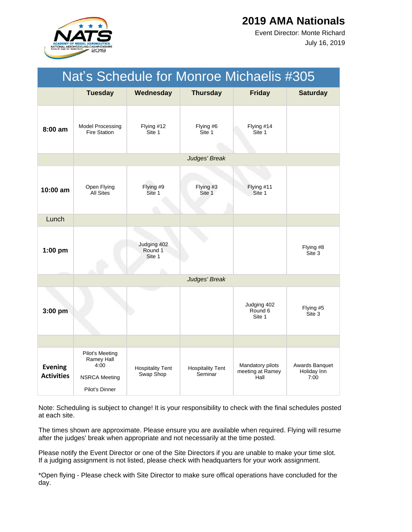

July 16, 2019 Event Director: Monte Richard

| Nat's Schedule for Monroe Michaelis #305 |                                                                                 |                                      |                                    |                                              |                                       |  |
|------------------------------------------|---------------------------------------------------------------------------------|--------------------------------------|------------------------------------|----------------------------------------------|---------------------------------------|--|
|                                          | <b>Tuesday</b>                                                                  | Wednesday                            | <b>Thursday</b>                    | <b>Friday</b>                                | <b>Saturday</b>                       |  |
| $8:00$ am                                | <b>Model Processing</b><br><b>Fire Station</b>                                  | Flying #12<br>Site 1                 | Flying #6<br>Site 1                | Flying #14<br>Site 1                         |                                       |  |
|                                          |                                                                                 |                                      | Judges' Break                      |                                              |                                       |  |
| $10:00$ am                               | Open Flying<br><b>All Sites</b>                                                 | Flying #9<br>Site 1                  | Flying #3<br>Site 1                | Flying #11<br>Site 1                         |                                       |  |
| Lunch                                    |                                                                                 |                                      |                                    |                                              |                                       |  |
| $1:00$ pm                                |                                                                                 | Judging 402<br>Round 1<br>Site 1     |                                    |                                              | Flying #8<br>Site 3                   |  |
|                                          |                                                                                 |                                      | Judges' Break                      |                                              |                                       |  |
| $3:00$ pm                                |                                                                                 |                                      |                                    | Judging 402<br>Round 6<br>Site 1             | Flying #5<br>Site 3                   |  |
|                                          |                                                                                 |                                      |                                    |                                              |                                       |  |
| <b>Evening</b><br><b>Activities</b>      | Pilot's Meeting<br>Ramey Hall<br>4:00<br><b>NSRCA Meeting</b><br>Pilot's Dinner | <b>Hospitality Tent</b><br>Swap Shop | <b>Hospitality Tent</b><br>Seminar | Mandatory pilots<br>meeting at Ramey<br>Hall | Awards Banquet<br>Holiday Inn<br>7:00 |  |

Note: Scheduling is subject to change! It is your responsibility to check with the final schedules posted at each site.

The times shown are approximate. Please ensure you are available when required. Flying will resume after the judges' break when appropriate and not necessarily at the time posted.

Please notify the Event Director or one of the Site Directors if you are unable to make your time slot. If a judging assignment is not listed, please check with headquarters for your work assignment.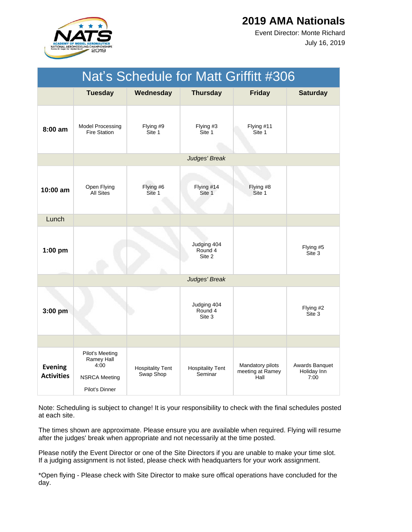

July 16, 2019 Event Director: Monte Richard

|                                     | Nat's Schedule for Matt Griffitt #306                                           |                                      |                                    |                                              |                                       |  |  |  |
|-------------------------------------|---------------------------------------------------------------------------------|--------------------------------------|------------------------------------|----------------------------------------------|---------------------------------------|--|--|--|
|                                     | <b>Tuesday</b>                                                                  | Wednesday                            | <b>Thursday</b>                    | <b>Friday</b>                                | <b>Saturday</b>                       |  |  |  |
| $8:00$ am                           | <b>Model Processing</b><br><b>Fire Station</b>                                  | Flying #9<br>Site 1                  | Flying #3<br>Site 1                | Flying #11<br>Site 1                         |                                       |  |  |  |
|                                     |                                                                                 |                                      | Judges' Break                      |                                              |                                       |  |  |  |
| 10:00 am                            | Open Flying<br><b>All Sites</b>                                                 | Flying #6<br>Site 1                  | Flying #14<br>Site 1               | Flying #8<br>Site 1                          |                                       |  |  |  |
| Lunch                               |                                                                                 |                                      |                                    |                                              |                                       |  |  |  |
| $1:00$ pm                           |                                                                                 |                                      | Judging 404<br>Round 4<br>Site 2   |                                              | Flying #5<br>Site 3                   |  |  |  |
|                                     |                                                                                 |                                      | Judges' Break                      |                                              |                                       |  |  |  |
| 3:00 pm                             |                                                                                 |                                      | Judging 404<br>Round 4<br>Site 3   |                                              | Flying #2<br>Site 3                   |  |  |  |
|                                     |                                                                                 |                                      |                                    |                                              |                                       |  |  |  |
| <b>Evening</b><br><b>Activities</b> | Pilot's Meeting<br>Ramey Hall<br>4:00<br><b>NSRCA Meeting</b><br>Pilot's Dinner | <b>Hospitality Tent</b><br>Swap Shop | <b>Hospitality Tent</b><br>Seminar | Mandatory pilots<br>meeting at Ramey<br>Hall | Awards Banquet<br>Holiday Inn<br>7:00 |  |  |  |

Note: Scheduling is subject to change! It is your responsibility to check with the final schedules posted at each site.

The times shown are approximate. Please ensure you are available when required. Flying will resume after the judges' break when appropriate and not necessarily at the time posted.

Please notify the Event Director or one of the Site Directors if you are unable to make your time slot. If a judging assignment is not listed, please check with headquarters for your work assignment.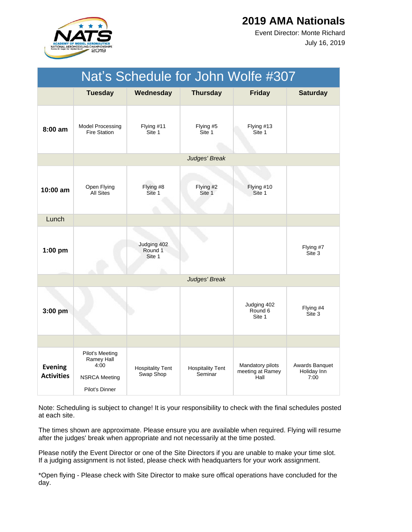

July 16, 2019 Event Director: Monte Richard

|                                     | Nat's Schedule for John Wolfe #307                                              |                                        |                                    |                                              |                                       |  |  |
|-------------------------------------|---------------------------------------------------------------------------------|----------------------------------------|------------------------------------|----------------------------------------------|---------------------------------------|--|--|
|                                     | <b>Tuesday</b>                                                                  | Wednesday                              | <b>Thursday</b>                    | <b>Friday</b>                                | <b>Saturday</b>                       |  |  |
| $8:00$ am                           | Model Processing<br><b>Fire Station</b>                                         | Flying #11<br>Site 1                   | Flying #5<br>Site 1                | Flying #13<br>Site 1                         |                                       |  |  |
|                                     |                                                                                 |                                        | Judges' Break                      |                                              |                                       |  |  |
| 10:00 am                            | Open Flying<br>All Sites                                                        | Flying #8<br>Site 1                    | Flying #2<br>Site 1                | Flying #10<br>Site 1                         |                                       |  |  |
| Lunch                               |                                                                                 |                                        |                                    |                                              |                                       |  |  |
| $1:00$ pm                           |                                                                                 | Judging 402<br>Round 1<br>Site 1<br>h. |                                    |                                              | Flying #7<br>Site 3                   |  |  |
|                                     |                                                                                 |                                        | Judges' Break                      |                                              |                                       |  |  |
| $3:00$ pm                           |                                                                                 |                                        |                                    | Judging 402<br>Round 6<br>Site 1             | Flying #4<br>Site 3                   |  |  |
|                                     |                                                                                 |                                        |                                    |                                              |                                       |  |  |
| <b>Evening</b><br><b>Activities</b> | Pilot's Meeting<br>Ramey Hall<br>4:00<br><b>NSRCA Meeting</b><br>Pilot's Dinner | <b>Hospitality Tent</b><br>Swap Shop   | <b>Hospitality Tent</b><br>Seminar | Mandatory pilots<br>meeting at Ramey<br>Hall | Awards Banquet<br>Holiday Inn<br>7:00 |  |  |

Note: Scheduling is subject to change! It is your responsibility to check with the final schedules posted at each site.

The times shown are approximate. Please ensure you are available when required. Flying will resume after the judges' break when appropriate and not necessarily at the time posted.

Please notify the Event Director or one of the Site Directors if you are unable to make your time slot. If a judging assignment is not listed, please check with headquarters for your work assignment.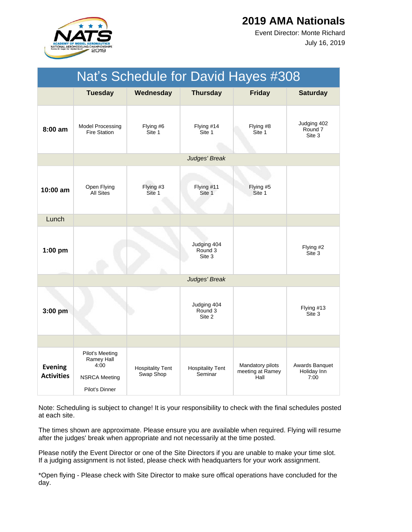

July 16, 2019 Event Director: Monte Richard

|                                     | Nat's Schedule for David Hayes #308                                             |                                      |                                    |                                              |                                       |  |  |
|-------------------------------------|---------------------------------------------------------------------------------|--------------------------------------|------------------------------------|----------------------------------------------|---------------------------------------|--|--|
|                                     | <b>Tuesday</b>                                                                  | Wednesday                            | <b>Thursday</b>                    | <b>Friday</b>                                | <b>Saturday</b>                       |  |  |
| 8:00 am                             | <b>Model Processing</b><br><b>Fire Station</b>                                  | Flying #6<br>Site 1                  | Flying #14<br>Site 1               | Flying #8<br>Site 1                          | Judging 402<br>Round 7<br>Site 3      |  |  |
|                                     |                                                                                 |                                      | Judges' Break                      |                                              |                                       |  |  |
| 10:00 am                            | Open Flying<br><b>All Sites</b>                                                 | Flying #3<br>Site 1                  | Flying #11<br>Site 1               | Flying #5<br>Site 1                          |                                       |  |  |
| Lunch                               |                                                                                 |                                      |                                    |                                              |                                       |  |  |
| $1:00$ pm                           |                                                                                 |                                      | Judging 404<br>Round 3<br>Site 3   |                                              | Flying #2<br>Site 3                   |  |  |
|                                     |                                                                                 |                                      | Judges' Break                      |                                              |                                       |  |  |
| $3:00$ pm                           |                                                                                 |                                      | Judging 404<br>Round 3<br>Site 2   |                                              | Flying #13<br>Site 3                  |  |  |
|                                     |                                                                                 |                                      |                                    |                                              |                                       |  |  |
| <b>Evening</b><br><b>Activities</b> | Pilot's Meeting<br>Ramey Hall<br>4:00<br><b>NSRCA Meeting</b><br>Pilot's Dinner | <b>Hospitality Tent</b><br>Swap Shop | <b>Hospitality Tent</b><br>Seminar | Mandatory pilots<br>meeting at Ramey<br>Hall | Awards Banquet<br>Holiday Inn<br>7:00 |  |  |

Note: Scheduling is subject to change! It is your responsibility to check with the final schedules posted at each site.

The times shown are approximate. Please ensure you are available when required. Flying will resume after the judges' break when appropriate and not necessarily at the time posted.

Please notify the Event Director or one of the Site Directors if you are unable to make your time slot. If a judging assignment is not listed, please check with headquarters for your work assignment.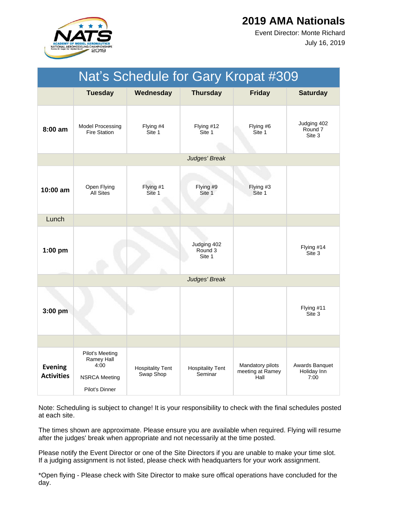

July 16, 2019 Event Director: Monte Richard

|                                     | Nat's Schedule for Gary Kropat #309                                             |                                      |                                    |                                              |                                       |  |  |
|-------------------------------------|---------------------------------------------------------------------------------|--------------------------------------|------------------------------------|----------------------------------------------|---------------------------------------|--|--|
|                                     | <b>Tuesday</b>                                                                  | Wednesday                            | <b>Thursday</b>                    | <b>Friday</b>                                | <b>Saturday</b>                       |  |  |
| $8:00$ am                           | <b>Model Processing</b><br><b>Fire Station</b>                                  | Flying #4<br>Site 1                  | Flying #12<br>Site 1               | Flying #6<br>Site 1                          | Judging 402<br>Round 7<br>Site 3      |  |  |
|                                     |                                                                                 |                                      | Judges' Break                      |                                              |                                       |  |  |
| 10:00 am                            | Open Flying<br><b>All Sites</b>                                                 | Flying #1<br>Site 1                  | Flying #9<br>Site 1                | Flying #3<br>Site 1                          |                                       |  |  |
| Lunch                               |                                                                                 |                                      |                                    |                                              |                                       |  |  |
| $1:00$ pm                           |                                                                                 |                                      | Judging 402<br>Round 3<br>Site 1   |                                              | Flying #14<br>Site 3                  |  |  |
|                                     |                                                                                 |                                      | Judges' Break                      |                                              |                                       |  |  |
| $3:00$ pm                           |                                                                                 |                                      |                                    |                                              | Flying #11<br>Site 3                  |  |  |
|                                     |                                                                                 |                                      |                                    |                                              |                                       |  |  |
| <b>Evening</b><br><b>Activities</b> | Pilot's Meeting<br>Ramey Hall<br>4:00<br><b>NSRCA Meeting</b><br>Pilot's Dinner | <b>Hospitality Tent</b><br>Swap Shop | <b>Hospitality Tent</b><br>Seminar | Mandatory pilots<br>meeting at Ramey<br>Hall | Awards Banquet<br>Holiday Inn<br>7:00 |  |  |

Note: Scheduling is subject to change! It is your responsibility to check with the final schedules posted at each site.

The times shown are approximate. Please ensure you are available when required. Flying will resume after the judges' break when appropriate and not necessarily at the time posted.

Please notify the Event Director or one of the Site Directors if you are unable to make your time slot. If a judging assignment is not listed, please check with headquarters for your work assignment.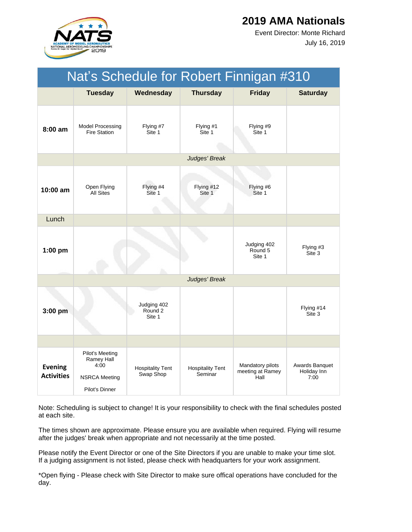

July 16, 2019 Event Director: Monte Richard

| Nat's Schedule for Robert Finnigan #310 |                                                                                 |                                             |                                    |                                              |                                       |  |
|-----------------------------------------|---------------------------------------------------------------------------------|---------------------------------------------|------------------------------------|----------------------------------------------|---------------------------------------|--|
|                                         | <b>Tuesday</b>                                                                  | Wednesday                                   | <b>Thursday</b>                    | <b>Friday</b>                                | <b>Saturday</b>                       |  |
| $8:00$ am                               | Model Processing<br><b>Fire Station</b>                                         | Flying #7<br>Site 1                         | Flying #1<br>Site 1                | Flying #9<br>Site 1                          |                                       |  |
|                                         |                                                                                 |                                             | Judges' Break                      |                                              |                                       |  |
| $10:00$ am                              | Open Flying<br>All Sites                                                        | Flying #4<br>Site 1                         | Flying #12<br>Site 1               | Flying #6<br>Site 1                          |                                       |  |
| Lunch                                   |                                                                                 |                                             |                                    |                                              |                                       |  |
| $1:00$ pm                               |                                                                                 |                                             |                                    | Judging 402<br>Round 5<br>Site 1             | Flying #3<br>Site 3                   |  |
|                                         |                                                                                 |                                             | Judges' Break                      |                                              |                                       |  |
| 3:00 pm                                 |                                                                                 | Judging 402<br>Round <sub>2</sub><br>Site 1 |                                    |                                              | Flying #14<br>Site 3                  |  |
|                                         |                                                                                 |                                             |                                    |                                              |                                       |  |
| <b>Evening</b><br><b>Activities</b>     | Pilot's Meeting<br>Ramey Hall<br>4:00<br><b>NSRCA Meeting</b><br>Pilot's Dinner | <b>Hospitality Tent</b><br>Swap Shop        | <b>Hospitality Tent</b><br>Seminar | Mandatory pilots<br>meeting at Ramey<br>Hall | Awards Banquet<br>Holiday Inn<br>7:00 |  |

Note: Scheduling is subject to change! It is your responsibility to check with the final schedules posted at each site.

The times shown are approximate. Please ensure you are available when required. Flying will resume after the judges' break when appropriate and not necessarily at the time posted.

Please notify the Event Director or one of the Site Directors if you are unable to make your time slot. If a judging assignment is not listed, please check with headquarters for your work assignment.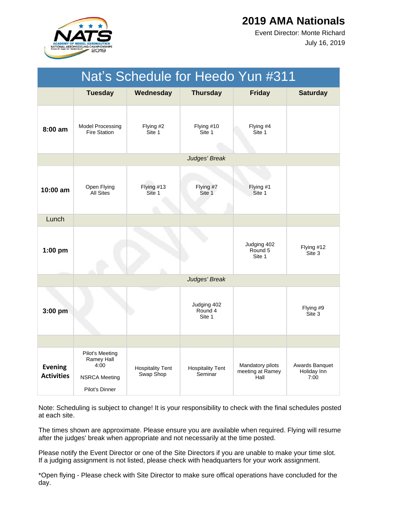

July 16, 2019 Event Director: Monte Richard

|                                     | Nat's Schedule for Heedo Yun #311                                               |                                      |                                    |                                              |                                       |  |  |
|-------------------------------------|---------------------------------------------------------------------------------|--------------------------------------|------------------------------------|----------------------------------------------|---------------------------------------|--|--|
|                                     | <b>Tuesday</b>                                                                  | Wednesday                            | <b>Thursday</b>                    | <b>Friday</b>                                | <b>Saturday</b>                       |  |  |
| $8:00$ am                           | <b>Model Processing</b><br><b>Fire Station</b>                                  | Flying #2<br>Site 1                  | Flying #10<br>Site 1               | Flying #4<br>Site 1                          |                                       |  |  |
|                                     |                                                                                 |                                      | Judges' Break                      |                                              |                                       |  |  |
| $10:00$ am                          | Open Flying<br><b>All Sites</b>                                                 | Flying #13<br>Site 1                 | Flying #7<br>Site 1                | Flying #1<br>Site 1                          |                                       |  |  |
| Lunch                               |                                                                                 |                                      |                                    |                                              |                                       |  |  |
| $1:00$ pm                           |                                                                                 |                                      |                                    | Judging 402<br>Round 5<br>Site 1             | Flying #12<br>Site 3                  |  |  |
|                                     |                                                                                 |                                      | Judges' Break                      |                                              |                                       |  |  |
| $3:00$ pm                           |                                                                                 |                                      | Judging 402<br>Round 4<br>Site 1   |                                              | Flying #9<br>Site 3                   |  |  |
|                                     |                                                                                 |                                      |                                    |                                              |                                       |  |  |
| <b>Evening</b><br><b>Activities</b> | Pilot's Meeting<br>Ramey Hall<br>4:00<br><b>NSRCA Meeting</b><br>Pilot's Dinner | <b>Hospitality Tent</b><br>Swap Shop | <b>Hospitality Tent</b><br>Seminar | Mandatory pilots<br>meeting at Ramey<br>Hall | Awards Banquet<br>Holiday Inn<br>7:00 |  |  |

Note: Scheduling is subject to change! It is your responsibility to check with the final schedules posted at each site.

The times shown are approximate. Please ensure you are available when required. Flying will resume after the judges' break when appropriate and not necessarily at the time posted.

Please notify the Event Director or one of the Site Directors if you are unable to make your time slot. If a judging assignment is not listed, please check with headquarters for your work assignment.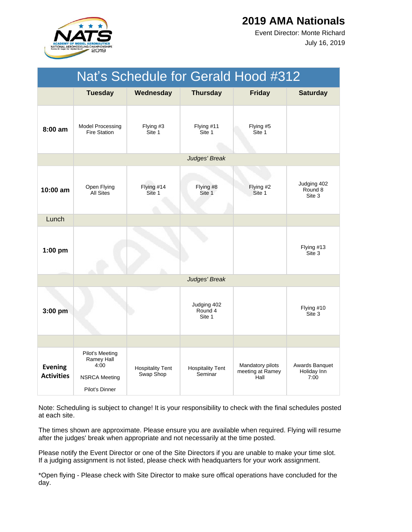

July 16, 2019 Event Director: Monte Richard

|                                     | Nat's Schedule for Gerald Hood #312                                             |                                      |                                    |                                              |                                       |  |
|-------------------------------------|---------------------------------------------------------------------------------|--------------------------------------|------------------------------------|----------------------------------------------|---------------------------------------|--|
|                                     | <b>Tuesday</b>                                                                  | Wednesday                            | <b>Thursday</b>                    | <b>Friday</b>                                | <b>Saturday</b>                       |  |
| $8:00$ am                           | <b>Model Processing</b><br><b>Fire Station</b>                                  | Flying #3<br>Site 1                  | Flying #11<br>Site 1               | Flying #5<br>Site 1                          |                                       |  |
|                                     |                                                                                 |                                      | Judges' Break                      |                                              |                                       |  |
| $10:00$ am                          | Open Flying<br><b>All Sites</b>                                                 | Flying #14<br>Site 1                 | Flying #8<br>Site 1                | Flying #2<br>Site 1                          | Judging 402<br>Round 8<br>Site 3      |  |
| Lunch                               |                                                                                 |                                      |                                    |                                              |                                       |  |
| $1:00$ pm                           |                                                                                 |                                      |                                    |                                              | Flying #13<br>Site 3                  |  |
|                                     |                                                                                 |                                      | Judges' Break                      |                                              |                                       |  |
| $3:00$ pm                           |                                                                                 |                                      | Judging 402<br>Round 4<br>Site 1   |                                              | Flying #10<br>Site 3                  |  |
|                                     |                                                                                 |                                      |                                    |                                              |                                       |  |
| <b>Evening</b><br><b>Activities</b> | Pilot's Meeting<br>Ramey Hall<br>4:00<br><b>NSRCA Meeting</b><br>Pilot's Dinner | <b>Hospitality Tent</b><br>Swap Shop | <b>Hospitality Tent</b><br>Seminar | Mandatory pilots<br>meeting at Ramey<br>Hall | Awards Banquet<br>Holiday Inn<br>7:00 |  |

Note: Scheduling is subject to change! It is your responsibility to check with the final schedules posted at each site.

The times shown are approximate. Please ensure you are available when required. Flying will resume after the judges' break when appropriate and not necessarily at the time posted.

Please notify the Event Director or one of the Site Directors if you are unable to make your time slot. If a judging assignment is not listed, please check with headquarters for your work assignment.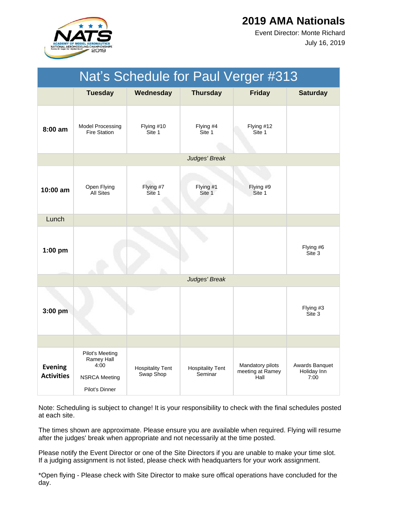

July 16, 2019 Event Director: Monte Richard

|                                     | Nat's Schedule for Paul Verger #313                                             |                                      |                                    |                                              |                                       |  |  |
|-------------------------------------|---------------------------------------------------------------------------------|--------------------------------------|------------------------------------|----------------------------------------------|---------------------------------------|--|--|
|                                     | <b>Tuesday</b>                                                                  | Wednesday                            | <b>Thursday</b>                    | <b>Friday</b>                                | <b>Saturday</b>                       |  |  |
| 8:00 am                             | Model Processing<br><b>Fire Station</b>                                         | Flying #10<br>Site 1                 | Flying #4<br>Site 1                | Flying #12<br>Site 1                         |                                       |  |  |
|                                     |                                                                                 |                                      | Judges' Break                      |                                              |                                       |  |  |
| $10:00$ am                          | Open Flying<br><b>All Sites</b>                                                 | Flying #7<br>Site 1                  | Flying #1<br>Site 1                | Flying #9<br>Site 1                          |                                       |  |  |
| Lunch                               |                                                                                 |                                      |                                    |                                              |                                       |  |  |
| $1:00$ pm                           |                                                                                 |                                      |                                    |                                              | Flying #6<br>Site 3                   |  |  |
|                                     |                                                                                 |                                      | Judges' Break                      |                                              |                                       |  |  |
| 3:00 pm                             |                                                                                 |                                      |                                    |                                              | Flying #3<br>Site 3                   |  |  |
|                                     |                                                                                 |                                      |                                    |                                              |                                       |  |  |
| <b>Evening</b><br><b>Activities</b> | Pilot's Meeting<br>Ramey Hall<br>4:00<br><b>NSRCA Meeting</b><br>Pilot's Dinner | <b>Hospitality Tent</b><br>Swap Shop | <b>Hospitality Tent</b><br>Seminar | Mandatory pilots<br>meeting at Ramey<br>Hall | Awards Banquet<br>Holiday Inn<br>7:00 |  |  |

Note: Scheduling is subject to change! It is your responsibility to check with the final schedules posted at each site.

The times shown are approximate. Please ensure you are available when required. Flying will resume after the judges' break when appropriate and not necessarily at the time posted.

Please notify the Event Director or one of the Site Directors if you are unable to make your time slot. If a judging assignment is not listed, please check with headquarters for your work assignment.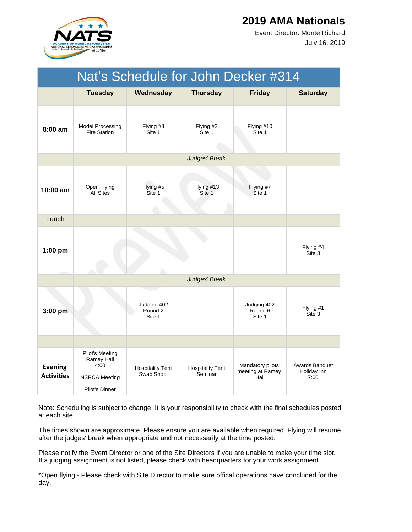

July 16, 2019 Event Director: Monte Richard

| Nat's Schedule for John Decker #314 |                                                                                 |                                      |                                    |                                              |                                       |  |  |
|-------------------------------------|---------------------------------------------------------------------------------|--------------------------------------|------------------------------------|----------------------------------------------|---------------------------------------|--|--|
|                                     | <b>Tuesday</b>                                                                  | Wednesday                            | <b>Thursday</b>                    | <b>Friday</b>                                | <b>Saturday</b>                       |  |  |
| 8:00 am                             | <b>Model Processing</b><br><b>Fire Station</b>                                  | Flying #8<br>Site 1                  | Flying #2<br>Site 1                | Flying #10<br>Site 1                         |                                       |  |  |
|                                     |                                                                                 |                                      | Judges' Break                      |                                              |                                       |  |  |
| 10:00 am                            | Open Flying<br><b>All Sites</b>                                                 | Flying #5<br>Site 1                  | Flying #13<br>Site 1               | Flying #7<br>Site 1                          |                                       |  |  |
| Lunch                               |                                                                                 |                                      |                                    |                                              |                                       |  |  |
| $1:00$ pm                           |                                                                                 |                                      |                                    |                                              | Flying #4<br>Site 3                   |  |  |
|                                     |                                                                                 |                                      | Judges' Break                      |                                              |                                       |  |  |
| 3:00 pm                             |                                                                                 | Judging 402<br>Round 2<br>Site 1     |                                    | Judging 402<br>Round 6<br>Site 1             | Flying #1<br>Site 3                   |  |  |
|                                     |                                                                                 |                                      |                                    |                                              |                                       |  |  |
| <b>Evening</b><br><b>Activities</b> | Pilot's Meeting<br>Ramey Hall<br>4:00<br><b>NSRCA Meeting</b><br>Pilot's Dinner | <b>Hospitality Tent</b><br>Swap Shop | <b>Hospitality Tent</b><br>Seminar | Mandatory pilots<br>meeting at Ramey<br>Hall | Awards Banquet<br>Holiday Inn<br>7:00 |  |  |

Note: Scheduling is subject to change! It is your responsibility to check with the final schedules posted at each site.

The times shown are approximate. Please ensure you are available when required. Flying will resume after the judges' break when appropriate and not necessarily at the time posted.

Please notify the Event Director or one of the Site Directors if you are unable to make your time slot. If a judging assignment is not listed, please check with headquarters for your work assignment.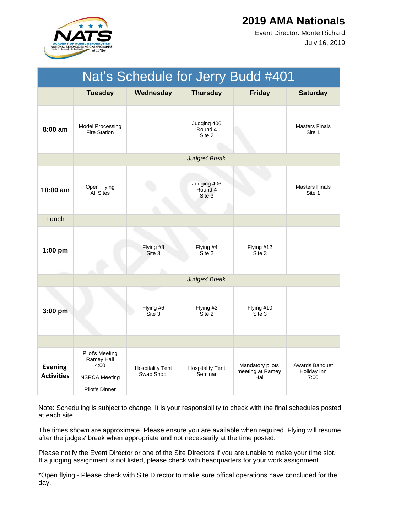

July 16, 2019 Event Director: Monte Richard

| Nat's Schedule for Jerry Budd #401  |                                                                                 |                                      |                                    |                                              |                                       |  |
|-------------------------------------|---------------------------------------------------------------------------------|--------------------------------------|------------------------------------|----------------------------------------------|---------------------------------------|--|
|                                     | <b>Tuesday</b>                                                                  | Wednesday                            | <b>Thursday</b>                    | <b>Friday</b>                                | <b>Saturday</b>                       |  |
| $8:00 \text{ am}$                   | Model Processing<br><b>Fire Station</b>                                         |                                      | Judging 406<br>Round 4<br>Site 2   |                                              | <b>Masters Finals</b><br>Site 1       |  |
|                                     |                                                                                 |                                      | Judges' Break                      |                                              |                                       |  |
| 10:00 am                            | Open Flying<br><b>All Sites</b>                                                 |                                      | Judging 406<br>Round 4<br>Site 3   |                                              | <b>Masters Finals</b><br>Site 1       |  |
| Lunch                               |                                                                                 |                                      |                                    |                                              |                                       |  |
| $1:00$ pm                           |                                                                                 | Flying #8<br>Site 3                  | Flying #4<br>Site 2                | Flying #12<br>Site 3                         |                                       |  |
|                                     |                                                                                 |                                      | Judges' Break                      |                                              |                                       |  |
| 3:00 pm                             |                                                                                 | Flying #6<br>Site 3                  | Flying #2<br>Site 2                | Flying #10<br>Site 3                         |                                       |  |
|                                     |                                                                                 |                                      |                                    |                                              |                                       |  |
| <b>Evening</b><br><b>Activities</b> | Pilot's Meeting<br>Ramey Hall<br>4:00<br><b>NSRCA Meeting</b><br>Pilot's Dinner | <b>Hospitality Tent</b><br>Swap Shop | <b>Hospitality Tent</b><br>Seminar | Mandatory pilots<br>meeting at Ramey<br>Hall | Awards Banquet<br>Holiday Inn<br>7:00 |  |

Note: Scheduling is subject to change! It is your responsibility to check with the final schedules posted at each site.

The times shown are approximate. Please ensure you are available when required. Flying will resume after the judges' break when appropriate and not necessarily at the time posted.

Please notify the Event Director or one of the Site Directors if you are unable to make your time slot. If a judging assignment is not listed, please check with headquarters for your work assignment.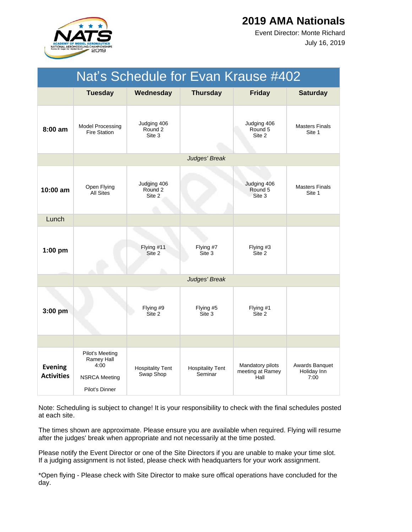

July 16, 2019 Event Director: Monte Richard

|                                     | Nat's Schedule for Evan Krause #402                                             |                                      |                                    |                                              |                                       |  |  |
|-------------------------------------|---------------------------------------------------------------------------------|--------------------------------------|------------------------------------|----------------------------------------------|---------------------------------------|--|--|
|                                     | <b>Tuesday</b>                                                                  | Wednesday                            | <b>Thursday</b>                    | <b>Friday</b>                                | <b>Saturday</b>                       |  |  |
| $8:00$ am                           | <b>Model Processing</b><br><b>Fire Station</b>                                  | Judging 406<br>Round 2<br>Site 3     |                                    | Judging 406<br>Round 5<br>Site 2             | <b>Masters Finals</b><br>Site 1       |  |  |
|                                     |                                                                                 |                                      | Judges' Break                      |                                              |                                       |  |  |
| 10:00 am                            | Open Flying<br><b>All Sites</b>                                                 | Judging 406<br>Round 2<br>Site 2     |                                    | Judging 406<br>Round 5<br>Site 3             | <b>Masters Finals</b><br>Site 1       |  |  |
| Lunch                               |                                                                                 |                                      |                                    |                                              |                                       |  |  |
| $1:00$ pm                           |                                                                                 | Flying #11<br>Site 2                 | Flying #7<br>Site 3                | Flying #3<br>Site 2                          |                                       |  |  |
|                                     |                                                                                 |                                      | Judges' Break                      |                                              |                                       |  |  |
| 3:00 pm                             |                                                                                 | Flying #9<br>Site 2                  | Flying #5<br>Site 3                | Flying #1<br>Site 2                          |                                       |  |  |
|                                     |                                                                                 |                                      |                                    |                                              |                                       |  |  |
| <b>Evening</b><br><b>Activities</b> | Pilot's Meeting<br>Ramey Hall<br>4:00<br><b>NSRCA Meeting</b><br>Pilot's Dinner | <b>Hospitality Tent</b><br>Swap Shop | <b>Hospitality Tent</b><br>Seminar | Mandatory pilots<br>meeting at Ramey<br>Hall | Awards Banquet<br>Holiday Inn<br>7:00 |  |  |

Note: Scheduling is subject to change! It is your responsibility to check with the final schedules posted at each site.

The times shown are approximate. Please ensure you are available when required. Flying will resume after the judges' break when appropriate and not necessarily at the time posted.

Please notify the Event Director or one of the Site Directors if you are unable to make your time slot. If a judging assignment is not listed, please check with headquarters for your work assignment.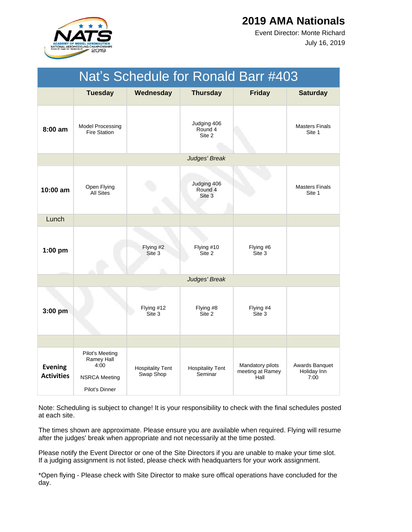

July 16, 2019 Event Director: Monte Richard

|                                     | Nat's Schedule for Ronald Barr #403                                             |                                      |                                    |                                              |                                       |  |  |
|-------------------------------------|---------------------------------------------------------------------------------|--------------------------------------|------------------------------------|----------------------------------------------|---------------------------------------|--|--|
|                                     | <b>Tuesday</b>                                                                  | Wednesday                            | <b>Thursday</b>                    | <b>Friday</b>                                | <b>Saturday</b>                       |  |  |
| 8:00 am                             | <b>Model Processing</b><br><b>Fire Station</b>                                  |                                      | Judging 406<br>Round 4<br>Site 2   |                                              | <b>Masters Finals</b><br>Site 1       |  |  |
|                                     |                                                                                 |                                      | Judges' Break                      |                                              |                                       |  |  |
| 10:00 am                            | Open Flying<br><b>All Sites</b>                                                 |                                      | Judging 406<br>Round 4<br>Site 3   |                                              | <b>Masters Finals</b><br>Site 1       |  |  |
| Lunch                               |                                                                                 |                                      |                                    |                                              |                                       |  |  |
| $1:00$ pm                           |                                                                                 | Flying #2<br>Site 3                  | Flying #10<br>Site 2               | Flying #6<br>Site 3                          |                                       |  |  |
|                                     |                                                                                 |                                      | Judges' Break                      |                                              |                                       |  |  |
| 3:00 pm                             |                                                                                 | Flying #12<br>Site 3                 | Flying #8<br>Site 2                | Flying #4<br>Site 3                          |                                       |  |  |
|                                     |                                                                                 |                                      |                                    |                                              |                                       |  |  |
| <b>Evening</b><br><b>Activities</b> | Pilot's Meeting<br>Ramey Hall<br>4:00<br><b>NSRCA Meeting</b><br>Pilot's Dinner | <b>Hospitality Tent</b><br>Swap Shop | <b>Hospitality Tent</b><br>Seminar | Mandatory pilots<br>meeting at Ramey<br>Hall | Awards Banquet<br>Holiday Inn<br>7:00 |  |  |

Note: Scheduling is subject to change! It is your responsibility to check with the final schedules posted at each site.

The times shown are approximate. Please ensure you are available when required. Flying will resume after the judges' break when appropriate and not necessarily at the time posted.

Please notify the Event Director or one of the Site Directors if you are unable to make your time slot. If a judging assignment is not listed, please check with headquarters for your work assignment.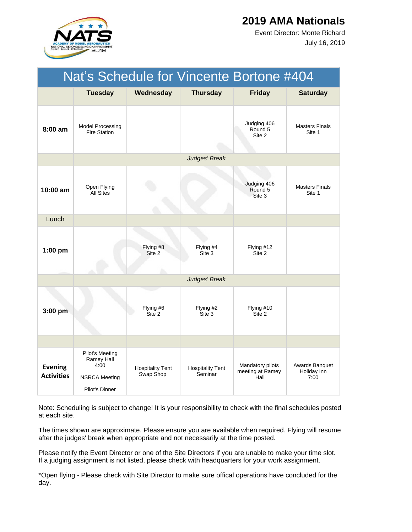

July 16, 2019 Event Director: Monte Richard

| Nat's Schedule for Vincente Bortone #404 |                                                                                 |                                      |                                    |                                              |                                       |  |
|------------------------------------------|---------------------------------------------------------------------------------|--------------------------------------|------------------------------------|----------------------------------------------|---------------------------------------|--|
|                                          | <b>Tuesday</b>                                                                  | Wednesday                            | <b>Thursday</b>                    | <b>Friday</b>                                | <b>Saturday</b>                       |  |
| $8:00$ am                                | Model Processing<br><b>Fire Station</b>                                         |                                      |                                    | Judging 406<br>Round 5<br>Site 2             | <b>Masters Finals</b><br>Site 1       |  |
|                                          |                                                                                 |                                      | Judges' Break                      |                                              |                                       |  |
| $10:00 \text{ am}$                       | Open Flying<br><b>All Sites</b>                                                 |                                      |                                    | Judging 406<br>Round 5<br>Site 3             | <b>Masters Finals</b><br>Site 1       |  |
| Lunch                                    |                                                                                 |                                      |                                    |                                              |                                       |  |
| $1:00$ pm                                |                                                                                 | Flying #8<br>Site 2                  | Flying #4<br>Site 3                | Flying #12<br>Site 2                         |                                       |  |
|                                          |                                                                                 |                                      | Judges' Break                      |                                              |                                       |  |
| 3:00 pm                                  |                                                                                 | Flying #6<br>Site 2                  | Flying #2<br>Site 3                | Flying #10<br>Site 2                         |                                       |  |
|                                          |                                                                                 |                                      |                                    |                                              |                                       |  |
| <b>Evening</b><br><b>Activities</b>      | Pilot's Meeting<br>Ramey Hall<br>4:00<br><b>NSRCA Meeting</b><br>Pilot's Dinner | <b>Hospitality Tent</b><br>Swap Shop | <b>Hospitality Tent</b><br>Seminar | Mandatory pilots<br>meeting at Ramey<br>Hall | Awards Banquet<br>Holiday Inn<br>7:00 |  |

Note: Scheduling is subject to change! It is your responsibility to check with the final schedules posted at each site.

The times shown are approximate. Please ensure you are available when required. Flying will resume after the judges' break when appropriate and not necessarily at the time posted.

Please notify the Event Director or one of the Site Directors if you are unable to make your time slot. If a judging assignment is not listed, please check with headquarters for your work assignment.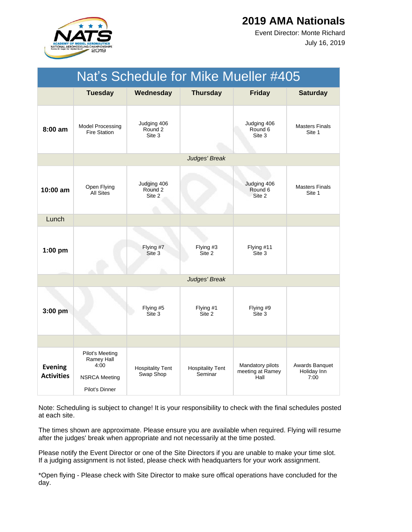

July 16, 2019 Event Director: Monte Richard

| Nat's Schedule for Mike Mueller #405 |                                                                                 |                                      |                                    |                                              |                                       |  |
|--------------------------------------|---------------------------------------------------------------------------------|--------------------------------------|------------------------------------|----------------------------------------------|---------------------------------------|--|
|                                      | <b>Tuesday</b>                                                                  | Wednesday                            | <b>Thursday</b>                    | <b>Friday</b>                                | <b>Saturday</b>                       |  |
| $8:00$ am                            | <b>Model Processing</b><br><b>Fire Station</b>                                  | Judging 406<br>Round 2<br>Site 3     |                                    | Judging 406<br>Round 6<br>Site 3             | <b>Masters Finals</b><br>Site 1       |  |
|                                      |                                                                                 |                                      | Judges' Break                      |                                              |                                       |  |
| $10:00$ am                           | Open Flying<br><b>All Sites</b>                                                 | Judging 406<br>Round 2<br>Site 2     |                                    | Judging 406<br>Round 6<br>Site 2             | <b>Masters Finals</b><br>Site 1       |  |
| Lunch                                |                                                                                 |                                      |                                    |                                              |                                       |  |
| $1:00$ pm                            |                                                                                 | Flying #7<br>Site 3                  | Flying #3<br>Site 2                | Flying #11<br>Site 3                         |                                       |  |
|                                      |                                                                                 |                                      | Judges' Break                      |                                              |                                       |  |
| 3:00 pm                              |                                                                                 | Flying #5<br>Site 3                  | Flying #1<br>Site 2                | Flying #9<br>Site 3                          |                                       |  |
|                                      |                                                                                 |                                      |                                    |                                              |                                       |  |
| <b>Evening</b><br><b>Activities</b>  | Pilot's Meeting<br>Ramey Hall<br>4:00<br><b>NSRCA Meeting</b><br>Pilot's Dinner | <b>Hospitality Tent</b><br>Swap Shop | <b>Hospitality Tent</b><br>Seminar | Mandatory pilots<br>meeting at Ramey<br>Hall | Awards Banquet<br>Holiday Inn<br>7:00 |  |

Note: Scheduling is subject to change! It is your responsibility to check with the final schedules posted at each site.

The times shown are approximate. Please ensure you are available when required. Flying will resume after the judges' break when appropriate and not necessarily at the time posted.

Please notify the Event Director or one of the Site Directors if you are unable to make your time slot. If a judging assignment is not listed, please check with headquarters for your work assignment.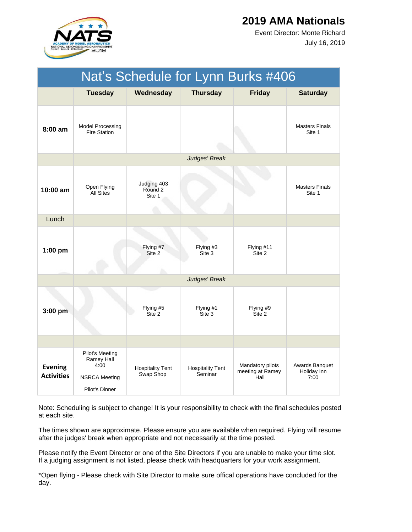

July 16, 2019 Event Director: Monte Richard

| Nat's Schedule for Lynn Burks #406  |                                                                                 |                                      |                                    |                                              |                                       |  |  |
|-------------------------------------|---------------------------------------------------------------------------------|--------------------------------------|------------------------------------|----------------------------------------------|---------------------------------------|--|--|
|                                     | <b>Tuesday</b>                                                                  | Wednesday                            | <b>Thursday</b>                    | <b>Friday</b>                                | <b>Saturday</b>                       |  |  |
| $8:00$ am                           | <b>Model Processing</b><br><b>Fire Station</b>                                  |                                      |                                    |                                              | <b>Masters Finals</b><br>Site 1       |  |  |
|                                     |                                                                                 |                                      | Judges' Break                      |                                              |                                       |  |  |
| $10:00 \text{ am}$                  | Open Flying<br><b>All Sites</b>                                                 | Judging 403<br>Round 2<br>Site 1     |                                    |                                              | <b>Masters Finals</b><br>Site 1       |  |  |
| Lunch                               |                                                                                 |                                      |                                    |                                              |                                       |  |  |
| $1:00$ pm                           |                                                                                 | Flying #7<br>Site 2                  | Flying #3<br>Site 3                | Flying #11<br>Site 2                         |                                       |  |  |
|                                     |                                                                                 |                                      | Judges' Break                      |                                              |                                       |  |  |
| 3:00 pm                             |                                                                                 | Flying #5<br>Site 2                  | Flying #1<br>Site 3                | Flying #9<br>Site 2                          |                                       |  |  |
|                                     |                                                                                 |                                      |                                    |                                              |                                       |  |  |
| <b>Evening</b><br><b>Activities</b> | Pilot's Meeting<br>Ramey Hall<br>4:00<br><b>NSRCA Meeting</b><br>Pilot's Dinner | <b>Hospitality Tent</b><br>Swap Shop | <b>Hospitality Tent</b><br>Seminar | Mandatory pilots<br>meeting at Ramey<br>Hall | Awards Banquet<br>Holiday Inn<br>7:00 |  |  |

Note: Scheduling is subject to change! It is your responsibility to check with the final schedules posted at each site.

The times shown are approximate. Please ensure you are available when required. Flying will resume after the judges' break when appropriate and not necessarily at the time posted.

Please notify the Event Director or one of the Site Directors if you are unable to make your time slot. If a judging assignment is not listed, please check with headquarters for your work assignment.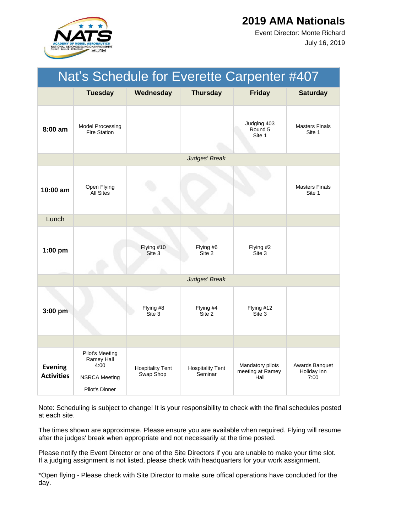

July 16, 2019 Event Director: Monte Richard

| Nat's Schedule for Everette Carpenter #407 |                                                                                 |                                      |                                    |                                              |                                       |  |
|--------------------------------------------|---------------------------------------------------------------------------------|--------------------------------------|------------------------------------|----------------------------------------------|---------------------------------------|--|
|                                            | <b>Tuesday</b>                                                                  | Wednesday                            | <b>Thursday</b>                    | <b>Friday</b>                                | <b>Saturday</b>                       |  |
| 8:00 am                                    | <b>Model Processing</b><br><b>Fire Station</b>                                  |                                      |                                    | Judging 403<br>Round 5<br>Site 1             | <b>Masters Finals</b><br>Site 1       |  |
|                                            |                                                                                 |                                      | Judges' Break                      |                                              |                                       |  |
| $10:00$ am                                 | Open Flying<br><b>All Sites</b>                                                 |                                      |                                    |                                              | <b>Masters Finals</b><br>Site 1       |  |
| Lunch                                      |                                                                                 |                                      |                                    |                                              |                                       |  |
| $1:00$ pm                                  |                                                                                 | Flying #10<br>Site 3                 | Flying #6<br>Site 2                | Flying #2<br>Site 3                          |                                       |  |
|                                            |                                                                                 |                                      | Judges' Break                      |                                              |                                       |  |
| 3:00 pm                                    |                                                                                 | Flying #8<br>Site 3                  | Flying #4<br>Site 2                | Flying #12<br>Site 3                         |                                       |  |
|                                            |                                                                                 |                                      |                                    |                                              |                                       |  |
| <b>Evening</b><br><b>Activities</b>        | Pilot's Meeting<br>Ramey Hall<br>4:00<br><b>NSRCA Meeting</b><br>Pilot's Dinner | <b>Hospitality Tent</b><br>Swap Shop | <b>Hospitality Tent</b><br>Seminar | Mandatory pilots<br>meeting at Ramey<br>Hall | Awards Banquet<br>Holiday Inn<br>7:00 |  |

Note: Scheduling is subject to change! It is your responsibility to check with the final schedules posted at each site.

The times shown are approximate. Please ensure you are available when required. Flying will resume after the judges' break when appropriate and not necessarily at the time posted.

Please notify the Event Director or one of the Site Directors if you are unable to make your time slot. If a judging assignment is not listed, please check with headquarters for your work assignment.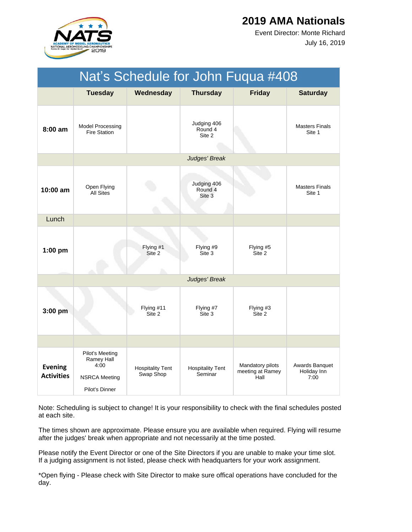

July 16, 2019 Event Director: Monte Richard

|                                     | Nat's Schedule for John Fuqua #408                                              |                                      |                                    |                                              |                                       |  |  |
|-------------------------------------|---------------------------------------------------------------------------------|--------------------------------------|------------------------------------|----------------------------------------------|---------------------------------------|--|--|
|                                     | <b>Tuesday</b>                                                                  | Wednesday                            | <b>Thursday</b>                    | <b>Friday</b>                                | <b>Saturday</b>                       |  |  |
| 8:00 am                             | <b>Model Processing</b><br><b>Fire Station</b>                                  |                                      | Judging 406<br>Round 4<br>Site 2   |                                              | <b>Masters Finals</b><br>Site 1       |  |  |
|                                     |                                                                                 |                                      | Judges' Break                      |                                              |                                       |  |  |
| 10:00 am                            | Open Flying<br><b>All Sites</b>                                                 |                                      | Judging 406<br>Round 4<br>Site 3   |                                              | <b>Masters Finals</b><br>Site 1       |  |  |
| Lunch                               |                                                                                 |                                      |                                    |                                              |                                       |  |  |
| $1:00$ pm                           |                                                                                 | Flying #1<br>Site 2                  | Flying #9<br>Site 3                | Flying #5<br>Site 2                          |                                       |  |  |
|                                     |                                                                                 |                                      | Judges' Break                      |                                              |                                       |  |  |
| $3:00$ pm                           |                                                                                 | Flying #11<br>Site 2                 | Flying #7<br>Site 3                | Flying #3<br>Site 2                          |                                       |  |  |
|                                     |                                                                                 |                                      |                                    |                                              |                                       |  |  |
| <b>Evening</b><br><b>Activities</b> | Pilot's Meeting<br>Ramey Hall<br>4:00<br><b>NSRCA Meeting</b><br>Pilot's Dinner | <b>Hospitality Tent</b><br>Swap Shop | <b>Hospitality Tent</b><br>Seminar | Mandatory pilots<br>meeting at Ramey<br>Hall | Awards Banquet<br>Holiday Inn<br>7:00 |  |  |

Note: Scheduling is subject to change! It is your responsibility to check with the final schedules posted at each site.

The times shown are approximate. Please ensure you are available when required. Flying will resume after the judges' break when appropriate and not necessarily at the time posted.

Please notify the Event Director or one of the Site Directors if you are unable to make your time slot. If a judging assignment is not listed, please check with headquarters for your work assignment.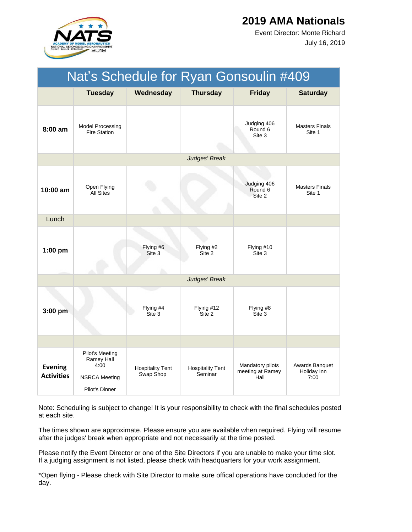

July 16, 2019 Event Director: Monte Richard

| Nat's Schedule for Ryan Gonsoulin #409 |                                                                                 |                                      |                                    |                                              |                                       |  |
|----------------------------------------|---------------------------------------------------------------------------------|--------------------------------------|------------------------------------|----------------------------------------------|---------------------------------------|--|
|                                        | <b>Tuesday</b>                                                                  | Wednesday                            | <b>Thursday</b>                    | <b>Friday</b>                                | <b>Saturday</b>                       |  |
| 8:00 am                                | <b>Model Processing</b><br><b>Fire Station</b>                                  |                                      |                                    | Judging 406<br>Round 6<br>Site 3             | <b>Masters Finals</b><br>Site 1       |  |
|                                        |                                                                                 |                                      | Judges' Break                      |                                              |                                       |  |
| 10:00 am                               | Open Flying<br><b>All Sites</b>                                                 |                                      |                                    | Judging 406<br>Round 6<br>Site 2             | <b>Masters Finals</b><br>Site 1       |  |
| Lunch                                  |                                                                                 |                                      |                                    |                                              |                                       |  |
| $1:00$ pm                              |                                                                                 | Flying #6<br>Site 3                  | Flying #2<br>Site 2                | Flying #10<br>Site 3                         |                                       |  |
|                                        |                                                                                 |                                      | Judges' Break                      |                                              |                                       |  |
| 3:00 pm                                |                                                                                 | Flying #4<br>Site 3                  | Flying #12<br>Site 2               | Flying #8<br>Site 3                          |                                       |  |
|                                        |                                                                                 |                                      |                                    |                                              |                                       |  |
| <b>Evening</b><br><b>Activities</b>    | Pilot's Meeting<br>Ramey Hall<br>4:00<br><b>NSRCA Meeting</b><br>Pilot's Dinner | <b>Hospitality Tent</b><br>Swap Shop | <b>Hospitality Tent</b><br>Seminar | Mandatory pilots<br>meeting at Ramey<br>Hall | Awards Banquet<br>Holiday Inn<br>7:00 |  |

Note: Scheduling is subject to change! It is your responsibility to check with the final schedules posted at each site.

The times shown are approximate. Please ensure you are available when required. Flying will resume after the judges' break when appropriate and not necessarily at the time posted.

Please notify the Event Director or one of the Site Directors if you are unable to make your time slot. If a judging assignment is not listed, please check with headquarters for your work assignment.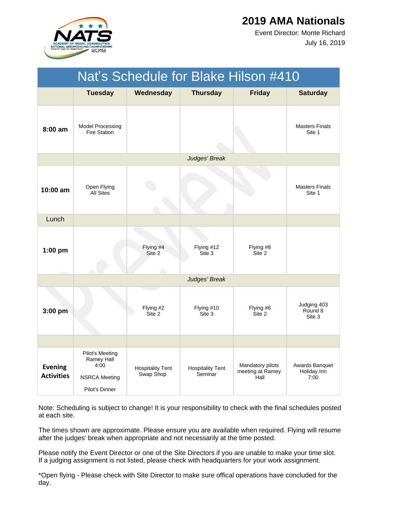

July 16, 2019 Event Director: Monte Richard

| Nat's Schedule for Blake Hilson #410 |                                                                                 |                                      |                                    |                                              |                                       |  |  |
|--------------------------------------|---------------------------------------------------------------------------------|--------------------------------------|------------------------------------|----------------------------------------------|---------------------------------------|--|--|
|                                      | <b>Tuesday</b>                                                                  | Wednesday                            | <b>Thursday</b>                    | <b>Friday</b>                                | <b>Saturday</b>                       |  |  |
| $8:00$ am                            | <b>Model Processing</b><br><b>Fire Station</b>                                  |                                      |                                    |                                              | <b>Masters Finals</b><br>Site 1       |  |  |
|                                      |                                                                                 |                                      | Judges' Break                      |                                              |                                       |  |  |
| $10:00$ am                           | Open Flying<br><b>All Sites</b>                                                 |                                      |                                    |                                              | <b>Masters Finals</b><br>Site 1       |  |  |
| Lunch                                |                                                                                 |                                      |                                    |                                              |                                       |  |  |
| $1:00$ pm                            |                                                                                 | Flying #4<br>Site 2                  | Flying #12<br>Site 3               | Flying #8<br>Site 2                          |                                       |  |  |
|                                      |                                                                                 |                                      | Judges' Break                      |                                              |                                       |  |  |
| 3:00 pm                              |                                                                                 | Flying #2<br>Site 2                  | Flying #10<br>Site 3               | Flying #6<br>Site 2                          | Judging 403<br>Round 8<br>Site 3      |  |  |
|                                      |                                                                                 |                                      |                                    |                                              |                                       |  |  |
| <b>Evening</b><br><b>Activities</b>  | Pilot's Meeting<br>Ramey Hall<br>4:00<br><b>NSRCA Meeting</b><br>Pilot's Dinner | <b>Hospitality Tent</b><br>Swap Shop | <b>Hospitality Tent</b><br>Seminar | Mandatory pilots<br>meeting at Ramey<br>Hall | Awards Banquet<br>Holiday Inn<br>7:00 |  |  |

Note: Scheduling is subject to change! It is your responsibility to check with the final schedules posted at each site.

The times shown are approximate. Please ensure you are available when required. Flying will resume after the judges' break when appropriate and not necessarily at the time posted.

Please notify the Event Director or one of the Site Directors if you are unable to make your time slot. If a judging assignment is not listed, please check with headquarters for your work assignment.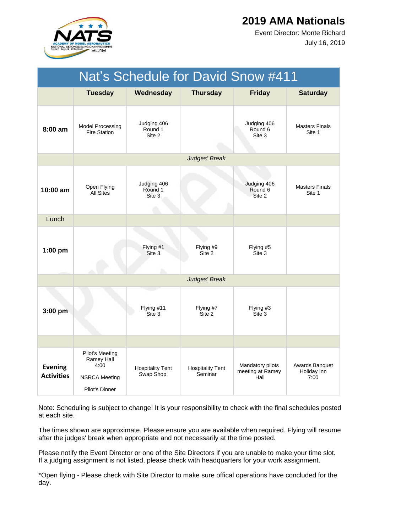

July 16, 2019 Event Director: Monte Richard

| Nat's Schedule for David Snow #411  |                                                                                 |                                      |                                    |                                              |                                       |  |
|-------------------------------------|---------------------------------------------------------------------------------|--------------------------------------|------------------------------------|----------------------------------------------|---------------------------------------|--|
|                                     | <b>Tuesday</b>                                                                  | Wednesday                            | <b>Thursday</b>                    | <b>Friday</b>                                | <b>Saturday</b>                       |  |
| $8:00$ am                           | Model Processing<br><b>Fire Station</b>                                         | Judging 406<br>Round 1<br>Site 2     |                                    | Judging 406<br>Round 6<br>Site 3             | <b>Masters Finals</b><br>Site 1       |  |
|                                     |                                                                                 |                                      | Judges' Break                      |                                              |                                       |  |
| $10:00$ am                          | Open Flying<br><b>All Sites</b>                                                 | Judging 406<br>Round 1<br>Site 3     |                                    | Judging 406<br>Round 6<br>Site 2             | <b>Masters Finals</b><br>Site 1       |  |
| Lunch                               |                                                                                 |                                      |                                    |                                              |                                       |  |
| $1:00$ pm                           |                                                                                 | Flying #1<br>Site 3                  | Flying #9<br>Site 2                | Flying #5<br>Site 3                          |                                       |  |
|                                     |                                                                                 |                                      | Judges' Break                      |                                              |                                       |  |
| 3:00 pm                             |                                                                                 | Flying #11<br>Site 3                 | Flying #7<br>Site 2                | Flying #3<br>Site 3                          |                                       |  |
|                                     |                                                                                 |                                      |                                    |                                              |                                       |  |
| <b>Evening</b><br><b>Activities</b> | Pilot's Meeting<br>Ramey Hall<br>4:00<br><b>NSRCA Meeting</b><br>Pilot's Dinner | <b>Hospitality Tent</b><br>Swap Shop | <b>Hospitality Tent</b><br>Seminar | Mandatory pilots<br>meeting at Ramey<br>Hall | Awards Banquet<br>Holiday Inn<br>7:00 |  |

Note: Scheduling is subject to change! It is your responsibility to check with the final schedules posted at each site.

The times shown are approximate. Please ensure you are available when required. Flying will resume after the judges' break when appropriate and not necessarily at the time posted.

Please notify the Event Director or one of the Site Directors if you are unable to make your time slot. If a judging assignment is not listed, please check with headquarters for your work assignment.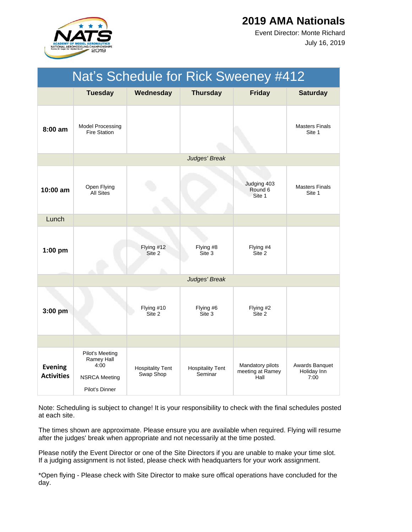

July 16, 2019 Event Director: Monte Richard

|                                     | Nat's Schedule for Rick Sweeney #412                                            |                                      |                                    |                                              |                                       |  |  |
|-------------------------------------|---------------------------------------------------------------------------------|--------------------------------------|------------------------------------|----------------------------------------------|---------------------------------------|--|--|
|                                     | <b>Tuesday</b>                                                                  | Wednesday                            | <b>Thursday</b>                    | <b>Friday</b>                                | <b>Saturday</b>                       |  |  |
| $8:00$ am                           | <b>Model Processing</b><br><b>Fire Station</b>                                  |                                      |                                    |                                              | <b>Masters Finals</b><br>Site 1       |  |  |
|                                     |                                                                                 |                                      | Judges' Break                      |                                              |                                       |  |  |
| 10:00 am                            | Open Flying<br><b>All Sites</b>                                                 |                                      |                                    | Judging 403<br>Round 6<br>Site 1             | <b>Masters Finals</b><br>Site 1       |  |  |
| Lunch                               |                                                                                 |                                      |                                    |                                              |                                       |  |  |
| $1:00$ pm                           |                                                                                 | Flying #12<br>Site 2                 | Flying #8<br>Site 3                | Flying #4<br>Site 2                          |                                       |  |  |
|                                     |                                                                                 |                                      | Judges' Break                      |                                              |                                       |  |  |
| $3:00$ pm                           |                                                                                 | Flying #10<br>Site 2                 | Flying #6<br>Site 3                | Flying #2<br>Site 2                          |                                       |  |  |
|                                     |                                                                                 |                                      |                                    |                                              |                                       |  |  |
| <b>Evening</b><br><b>Activities</b> | Pilot's Meeting<br>Ramey Hall<br>4:00<br><b>NSRCA Meeting</b><br>Pilot's Dinner | <b>Hospitality Tent</b><br>Swap Shop | <b>Hospitality Tent</b><br>Seminar | Mandatory pilots<br>meeting at Ramey<br>Hall | Awards Banquet<br>Holiday Inn<br>7:00 |  |  |

Note: Scheduling is subject to change! It is your responsibility to check with the final schedules posted at each site.

The times shown are approximate. Please ensure you are available when required. Flying will resume after the judges' break when appropriate and not necessarily at the time posted.

Please notify the Event Director or one of the Site Directors if you are unable to make your time slot. If a judging assignment is not listed, please check with headquarters for your work assignment.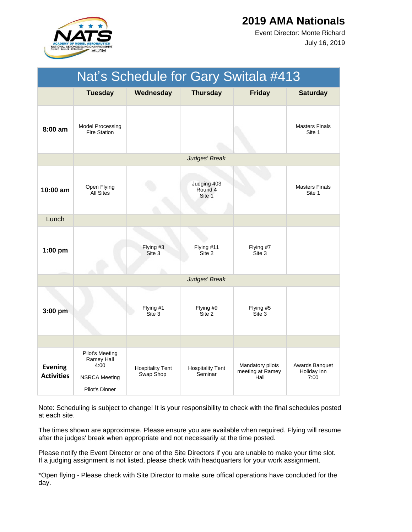

July 16, 2019 Event Director: Monte Richard

|                                     | Nat's Schedule for Gary Switala #413                                            |                                      |                                    |                                              |                                       |  |
|-------------------------------------|---------------------------------------------------------------------------------|--------------------------------------|------------------------------------|----------------------------------------------|---------------------------------------|--|
|                                     | <b>Tuesday</b>                                                                  | Wednesday                            | <b>Thursday</b>                    | <b>Friday</b>                                | <b>Saturday</b>                       |  |
| $8:00$ am                           | <b>Model Processing</b><br><b>Fire Station</b>                                  |                                      |                                    |                                              | <b>Masters Finals</b><br>Site 1       |  |
|                                     |                                                                                 |                                      | Judges' Break                      |                                              |                                       |  |
| 10:00 am                            | Open Flying<br>All Sites                                                        |                                      | Judging 403<br>Round 4<br>Site 1   |                                              | <b>Masters Finals</b><br>Site 1       |  |
| Lunch                               |                                                                                 |                                      |                                    |                                              |                                       |  |
| $1:00$ pm                           |                                                                                 | Flying #3<br>Site 3                  | Flying #11<br>Site 2               | Flying #7<br>Site 3                          |                                       |  |
|                                     |                                                                                 |                                      | Judges' Break                      |                                              |                                       |  |
| $3:00$ pm                           |                                                                                 | Flying #1<br>Site 3                  | Flying #9<br>Site 2                | Flying #5<br>Site 3                          |                                       |  |
|                                     |                                                                                 |                                      |                                    |                                              |                                       |  |
| <b>Evening</b><br><b>Activities</b> | Pilot's Meeting<br>Ramey Hall<br>4:00<br><b>NSRCA Meeting</b><br>Pilot's Dinner | <b>Hospitality Tent</b><br>Swap Shop | <b>Hospitality Tent</b><br>Seminar | Mandatory pilots<br>meeting at Ramey<br>Hall | Awards Banquet<br>Holiday Inn<br>7:00 |  |

Note: Scheduling is subject to change! It is your responsibility to check with the final schedules posted at each site.

The times shown are approximate. Please ensure you are available when required. Flying will resume after the judges' break when appropriate and not necessarily at the time posted.

Please notify the Event Director or one of the Site Directors if you are unable to make your time slot. If a judging assignment is not listed, please check with headquarters for your work assignment.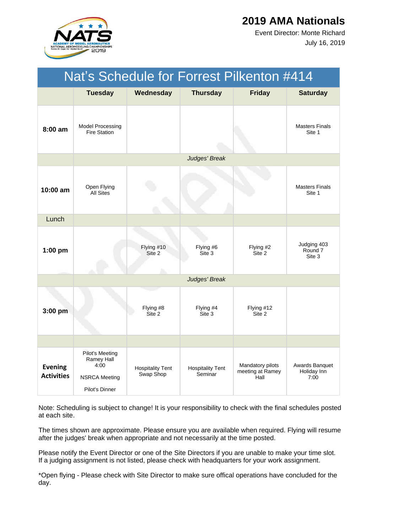

July 16, 2019 Event Director: Monte Richard

| Nat's Schedule for Forrest Pilkenton #414 |                                                                                 |                                      |                                    |                                              |                                       |  |
|-------------------------------------------|---------------------------------------------------------------------------------|--------------------------------------|------------------------------------|----------------------------------------------|---------------------------------------|--|
|                                           | <b>Tuesday</b>                                                                  | Wednesday                            | <b>Thursday</b>                    | <b>Friday</b>                                | <b>Saturday</b>                       |  |
| $8:00$ am                                 | <b>Model Processing</b><br><b>Fire Station</b>                                  |                                      |                                    |                                              | <b>Masters Finals</b><br>Site 1       |  |
|                                           |                                                                                 |                                      | Judges' Break                      |                                              |                                       |  |
| 10:00 am                                  | Open Flying<br><b>All Sites</b>                                                 |                                      |                                    |                                              | <b>Masters Finals</b><br>Site 1       |  |
| Lunch                                     |                                                                                 |                                      |                                    |                                              |                                       |  |
| $1:00$ pm                                 |                                                                                 | Flying #10<br>Site 2                 | Flying #6<br>Site 3                | Flying #2<br>Site 2                          | Judging 403<br>Round 7<br>Site 3      |  |
|                                           |                                                                                 |                                      | Judges' Break                      |                                              |                                       |  |
| 3:00 pm                                   |                                                                                 | Flying #8<br>Site 2                  | Flying #4<br>Site 3                | Flying #12<br>Site 2                         |                                       |  |
|                                           |                                                                                 |                                      |                                    |                                              |                                       |  |
| <b>Evening</b><br><b>Activities</b>       | Pilot's Meeting<br>Ramey Hall<br>4:00<br><b>NSRCA Meeting</b><br>Pilot's Dinner | <b>Hospitality Tent</b><br>Swap Shop | <b>Hospitality Tent</b><br>Seminar | Mandatory pilots<br>meeting at Ramey<br>Hall | Awards Banquet<br>Holiday Inn<br>7:00 |  |

Note: Scheduling is subject to change! It is your responsibility to check with the final schedules posted at each site.

The times shown are approximate. Please ensure you are available when required. Flying will resume after the judges' break when appropriate and not necessarily at the time posted.

Please notify the Event Director or one of the Site Directors if you are unable to make your time slot. If a judging assignment is not listed, please check with headquarters for your work assignment.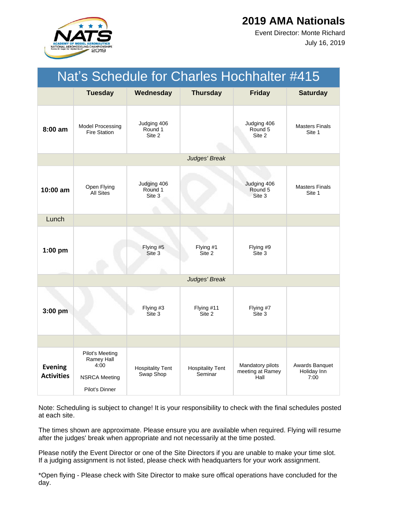

July 16, 2019 Event Director: Monte Richard

| Nat's Schedule for Charles Hochhalter #415 |                                                                                 |                                      |                                    |                                              |                                       |  |
|--------------------------------------------|---------------------------------------------------------------------------------|--------------------------------------|------------------------------------|----------------------------------------------|---------------------------------------|--|
|                                            | <b>Tuesday</b>                                                                  | Wednesday                            | <b>Thursday</b>                    | <b>Friday</b>                                | <b>Saturday</b>                       |  |
| $8:00$ am                                  | Model Processing<br><b>Fire Station</b>                                         | Judging 406<br>Round 1<br>Site 2     |                                    | Judging 406<br>Round 5<br>Site 2             | <b>Masters Finals</b><br>Site 1       |  |
|                                            |                                                                                 |                                      | Judges' Break                      |                                              |                                       |  |
| 10:00 am                                   | Open Flying<br><b>All Sites</b>                                                 | Judging 406<br>Round 1<br>Site 3     |                                    | Judging 406<br>Round 5<br>Site 3             | <b>Masters Finals</b><br>Site 1       |  |
| Lunch                                      |                                                                                 |                                      |                                    |                                              |                                       |  |
| 1:00 pm                                    |                                                                                 | Flying #5<br>Site 3                  | Flying #1<br>Site 2                | Flying #9<br>Site 3                          |                                       |  |
|                                            |                                                                                 |                                      | Judges' Break                      |                                              |                                       |  |
| 3:00 pm                                    |                                                                                 | Flying #3<br>Site 3                  | Flying #11<br>Site 2               | Flying #7<br>Site 3                          |                                       |  |
|                                            |                                                                                 |                                      |                                    |                                              |                                       |  |
| <b>Evening</b><br><b>Activities</b>        | Pilot's Meeting<br>Ramey Hall<br>4:00<br><b>NSRCA Meeting</b><br>Pilot's Dinner | <b>Hospitality Tent</b><br>Swap Shop | <b>Hospitality Tent</b><br>Seminar | Mandatory pilots<br>meeting at Ramey<br>Hall | Awards Banquet<br>Holiday Inn<br>7:00 |  |

Note: Scheduling is subject to change! It is your responsibility to check with the final schedules posted at each site.

The times shown are approximate. Please ensure you are available when required. Flying will resume after the judges' break when appropriate and not necessarily at the time posted.

Please notify the Event Director or one of the Site Directors if you are unable to make your time slot. If a judging assignment is not listed, please check with headquarters for your work assignment.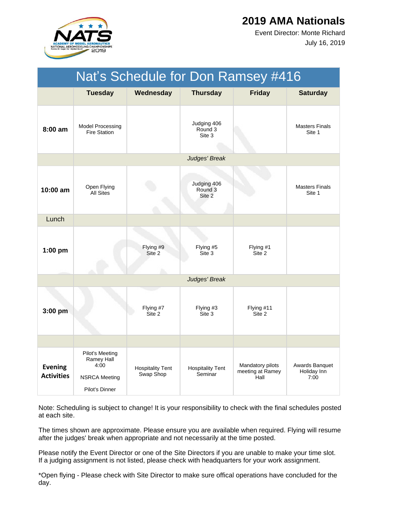

July 16, 2019 Event Director: Monte Richard

|                                     | Nat's Schedule for Don Ramsey #416                                              |                                      |                                    |                                              |                                       |  |  |
|-------------------------------------|---------------------------------------------------------------------------------|--------------------------------------|------------------------------------|----------------------------------------------|---------------------------------------|--|--|
|                                     | <b>Tuesday</b>                                                                  | Wednesday                            | <b>Thursday</b>                    | <b>Friday</b>                                | <b>Saturday</b>                       |  |  |
| $8:00$ am                           | Model Processing<br><b>Fire Station</b>                                         |                                      | Judging 406<br>Round 3<br>Site 3   |                                              | <b>Masters Finals</b><br>Site 1       |  |  |
|                                     |                                                                                 |                                      | Judges' Break                      |                                              |                                       |  |  |
| $10:00$ am                          | Open Flying<br><b>All Sites</b>                                                 |                                      | Judging 406<br>Round 3<br>Site 2   |                                              | <b>Masters Finals</b><br>Site 1       |  |  |
| Lunch                               |                                                                                 |                                      |                                    |                                              |                                       |  |  |
| 1:00 pm                             |                                                                                 | Flying #9<br>Site 2                  | Flying #5<br>Site 3                | Flying #1<br>Site 2                          |                                       |  |  |
|                                     |                                                                                 |                                      | Judges' Break                      |                                              |                                       |  |  |
| 3:00 pm                             |                                                                                 | Flying #7<br>Site 2                  | Flying #3<br>Site 3                | Flying #11<br>Site 2                         |                                       |  |  |
|                                     |                                                                                 |                                      |                                    |                                              |                                       |  |  |
| <b>Evening</b><br><b>Activities</b> | Pilot's Meeting<br>Ramey Hall<br>4:00<br><b>NSRCA Meeting</b><br>Pilot's Dinner | <b>Hospitality Tent</b><br>Swap Shop | <b>Hospitality Tent</b><br>Seminar | Mandatory pilots<br>meeting at Ramey<br>Hall | Awards Banquet<br>Holiday Inn<br>7:00 |  |  |

Note: Scheduling is subject to change! It is your responsibility to check with the final schedules posted at each site.

The times shown are approximate. Please ensure you are available when required. Flying will resume after the judges' break when appropriate and not necessarily at the time posted.

Please notify the Event Director or one of the Site Directors if you are unable to make your time slot. If a judging assignment is not listed, please check with headquarters for your work assignment.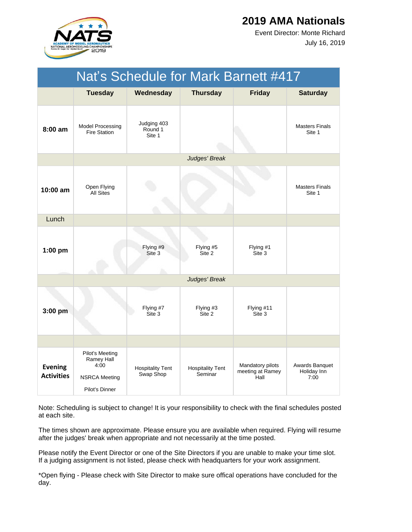

July 16, 2019 Event Director: Monte Richard

|                                     | Nat's Schedule for Mark Barnett #417                                            |                                      |                                    |                                              |                                       |  |  |
|-------------------------------------|---------------------------------------------------------------------------------|--------------------------------------|------------------------------------|----------------------------------------------|---------------------------------------|--|--|
|                                     | <b>Tuesday</b>                                                                  | Wednesday                            | <b>Thursday</b>                    | <b>Friday</b>                                | <b>Saturday</b>                       |  |  |
| 8:00 am                             | <b>Model Processing</b><br><b>Fire Station</b>                                  | Judging 403<br>Round 1<br>Site 1     |                                    |                                              | <b>Masters Finals</b><br>Site 1       |  |  |
|                                     |                                                                                 |                                      | Judges' Break                      |                                              |                                       |  |  |
| 10:00 am                            | Open Flying<br><b>All Sites</b>                                                 |                                      |                                    |                                              | <b>Masters Finals</b><br>Site 1       |  |  |
| Lunch                               |                                                                                 |                                      |                                    |                                              |                                       |  |  |
| $1:00$ pm                           |                                                                                 | Flying #9<br>Site 3                  | Flying #5<br>Site 2                | Flying #1<br>Site 3                          |                                       |  |  |
|                                     |                                                                                 |                                      | Judges' Break                      |                                              |                                       |  |  |
| 3:00 pm                             |                                                                                 | Flying #7<br>Site 3                  | Flying #3<br>Site 2                | Flying #11<br>Site 3                         |                                       |  |  |
|                                     |                                                                                 |                                      |                                    |                                              |                                       |  |  |
| <b>Evening</b><br><b>Activities</b> | Pilot's Meeting<br>Ramey Hall<br>4:00<br><b>NSRCA Meeting</b><br>Pilot's Dinner | <b>Hospitality Tent</b><br>Swap Shop | <b>Hospitality Tent</b><br>Seminar | Mandatory pilots<br>meeting at Ramey<br>Hall | Awards Banquet<br>Holiday Inn<br>7:00 |  |  |

Note: Scheduling is subject to change! It is your responsibility to check with the final schedules posted at each site.

The times shown are approximate. Please ensure you are available when required. Flying will resume after the judges' break when appropriate and not necessarily at the time posted.

Please notify the Event Director or one of the Site Directors if you are unable to make your time slot. If a judging assignment is not listed, please check with headquarters for your work assignment.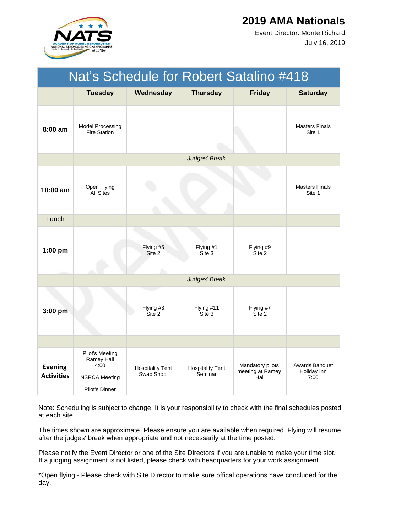

July 16, 2019 Event Director: Monte Richard

| <b>Nat's Schedule for Robert Satalino #418</b> |                                                                                 |                                      |                                    |                                              |                                       |  |  |
|------------------------------------------------|---------------------------------------------------------------------------------|--------------------------------------|------------------------------------|----------------------------------------------|---------------------------------------|--|--|
|                                                | <b>Tuesday</b>                                                                  | Wednesday                            | <b>Thursday</b>                    | <b>Friday</b>                                | <b>Saturday</b>                       |  |  |
| $8:00$ am                                      | <b>Model Processing</b><br><b>Fire Station</b>                                  |                                      |                                    |                                              | <b>Masters Finals</b><br>Site 1       |  |  |
|                                                |                                                                                 |                                      | Judges' Break                      |                                              |                                       |  |  |
| 10:00 am                                       | Open Flying<br><b>All Sites</b>                                                 |                                      |                                    |                                              | <b>Masters Finals</b><br>Site 1       |  |  |
| Lunch                                          |                                                                                 |                                      |                                    |                                              |                                       |  |  |
| $1:00$ pm                                      |                                                                                 | Flying #5<br>Site 2                  | Flying #1<br>Site 3                | Flying #9<br>Site 2                          |                                       |  |  |
|                                                |                                                                                 |                                      | Judges' Break                      |                                              |                                       |  |  |
| 3:00 pm                                        |                                                                                 | Flying #3<br>Site 2                  | Flying #11<br>Site 3               | Flying #7<br>Site 2                          |                                       |  |  |
|                                                |                                                                                 |                                      |                                    |                                              |                                       |  |  |
| <b>Evening</b><br><b>Activities</b>            | Pilot's Meeting<br>Ramey Hall<br>4:00<br><b>NSRCA Meeting</b><br>Pilot's Dinner | <b>Hospitality Tent</b><br>Swap Shop | <b>Hospitality Tent</b><br>Seminar | Mandatory pilots<br>meeting at Ramey<br>Hall | Awards Banquet<br>Holiday Inn<br>7:00 |  |  |

Note: Scheduling is subject to change! It is your responsibility to check with the final schedules posted at each site.

The times shown are approximate. Please ensure you are available when required. Flying will resume after the judges' break when appropriate and not necessarily at the time posted.

Please notify the Event Director or one of the Site Directors if you are unable to make your time slot. If a judging assignment is not listed, please check with headquarters for your work assignment.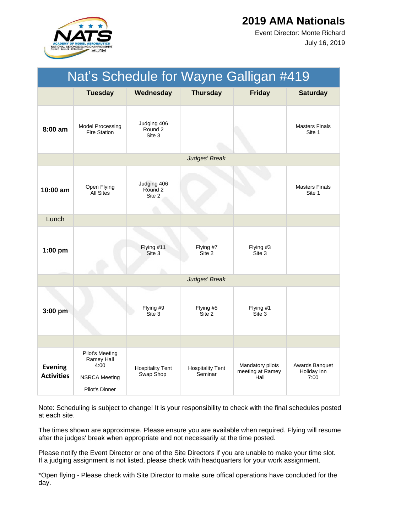

July 16, 2019 Event Director: Monte Richard

| Nat's Schedule for Wayne Galligan #419 |                                                                                 |                                             |                                    |                                              |                                       |  |
|----------------------------------------|---------------------------------------------------------------------------------|---------------------------------------------|------------------------------------|----------------------------------------------|---------------------------------------|--|
|                                        | <b>Tuesday</b>                                                                  | Wednesday                                   | <b>Thursday</b>                    | <b>Friday</b>                                | <b>Saturday</b>                       |  |
| $8:00$ am                              | <b>Model Processing</b><br><b>Fire Station</b>                                  | Judging 406<br>Round 2<br>Site 3            |                                    |                                              | <b>Masters Finals</b><br>Site 1       |  |
|                                        |                                                                                 |                                             | Judges' Break                      |                                              |                                       |  |
| 10:00 am                               | Open Flying<br><b>All Sites</b>                                                 | Judging 406<br>Round <sub>2</sub><br>Site 2 |                                    |                                              | <b>Masters Finals</b><br>Site 1       |  |
| Lunch                                  |                                                                                 |                                             |                                    |                                              |                                       |  |
| $1:00$ pm                              |                                                                                 | Flying #11<br>Site 3                        | Flying #7<br>Site 2                | Flying #3<br>Site 3                          |                                       |  |
|                                        |                                                                                 |                                             | Judges' Break                      |                                              |                                       |  |
| 3:00 pm                                |                                                                                 | Flying #9<br>Site 3                         | Flying #5<br>Site 2                | Flying #1<br>Site 3                          |                                       |  |
|                                        |                                                                                 |                                             |                                    |                                              |                                       |  |
| <b>Evening</b><br><b>Activities</b>    | Pilot's Meeting<br>Ramey Hall<br>4:00<br><b>NSRCA Meeting</b><br>Pilot's Dinner | <b>Hospitality Tent</b><br>Swap Shop        | <b>Hospitality Tent</b><br>Seminar | Mandatory pilots<br>meeting at Ramey<br>Hall | Awards Banquet<br>Holiday Inn<br>7:00 |  |

Note: Scheduling is subject to change! It is your responsibility to check with the final schedules posted at each site.

The times shown are approximate. Please ensure you are available when required. Flying will resume after the judges' break when appropriate and not necessarily at the time posted.

Please notify the Event Director or one of the Site Directors if you are unable to make your time slot. If a judging assignment is not listed, please check with headquarters for your work assignment.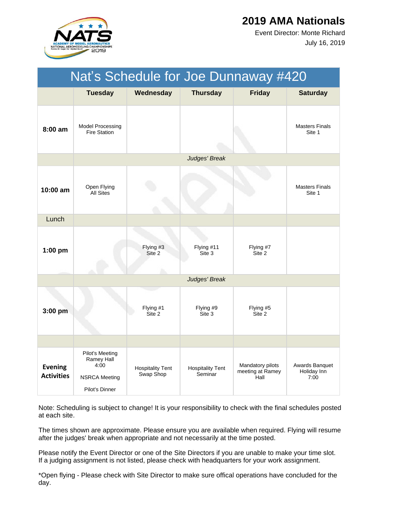

July 16, 2019 Event Director: Monte Richard

| Nat's Schedule for Joe Dunnaway #420 |                                                                                 |                                      |                                    |                                              |                                       |  |  |
|--------------------------------------|---------------------------------------------------------------------------------|--------------------------------------|------------------------------------|----------------------------------------------|---------------------------------------|--|--|
|                                      | <b>Tuesday</b>                                                                  | Wednesday                            | <b>Thursday</b>                    | <b>Friday</b>                                | <b>Saturday</b>                       |  |  |
| $8:00$ am                            | Model Processing<br><b>Fire Station</b>                                         |                                      |                                    |                                              | <b>Masters Finals</b><br>Site 1       |  |  |
|                                      |                                                                                 |                                      | Judges' Break                      |                                              |                                       |  |  |
| 10:00 am                             | Open Flying<br><b>All Sites</b>                                                 |                                      |                                    |                                              | <b>Masters Finals</b><br>Site 1       |  |  |
| Lunch                                |                                                                                 |                                      |                                    |                                              |                                       |  |  |
| $1:00$ pm                            |                                                                                 | Flying #3<br>Site 2                  | Flying #11<br>Site 3               | Flying #7<br>Site 2                          |                                       |  |  |
|                                      |                                                                                 |                                      | Judges' Break                      |                                              |                                       |  |  |
| 3:00 pm                              |                                                                                 | Flying #1<br>Site 2                  | Flying #9<br>Site 3                | Flying #5<br>Site 2                          |                                       |  |  |
|                                      |                                                                                 |                                      |                                    |                                              |                                       |  |  |
| <b>Evening</b><br><b>Activities</b>  | Pilot's Meeting<br>Ramey Hall<br>4:00<br><b>NSRCA Meeting</b><br>Pilot's Dinner | <b>Hospitality Tent</b><br>Swap Shop | <b>Hospitality Tent</b><br>Seminar | Mandatory pilots<br>meeting at Ramey<br>Hall | Awards Banquet<br>Holiday Inn<br>7:00 |  |  |

Note: Scheduling is subject to change! It is your responsibility to check with the final schedules posted at each site.

The times shown are approximate. Please ensure you are available when required. Flying will resume after the judges' break when appropriate and not necessarily at the time posted.

Please notify the Event Director or one of the Site Directors if you are unable to make your time slot. If a judging assignment is not listed, please check with headquarters for your work assignment.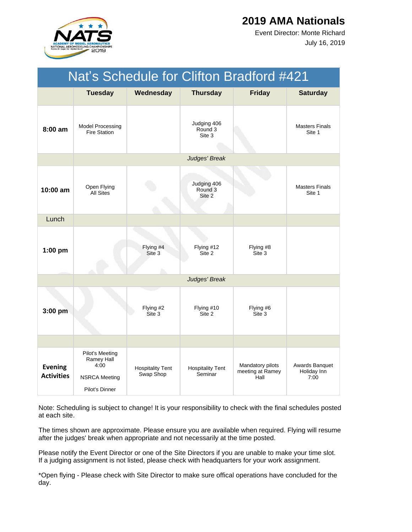

July 16, 2019 Event Director: Monte Richard

| Nat's Schedule for Clifton Bradford #421 |                                                                                 |                                      |                                    |                                              |                                       |  |
|------------------------------------------|---------------------------------------------------------------------------------|--------------------------------------|------------------------------------|----------------------------------------------|---------------------------------------|--|
|                                          | <b>Tuesday</b>                                                                  | Wednesday                            | <b>Thursday</b>                    | <b>Friday</b>                                | <b>Saturday</b>                       |  |
| $8:00$ am                                | <b>Model Processing</b><br><b>Fire Station</b>                                  |                                      | Judging 406<br>Round 3<br>Site 3   |                                              | <b>Masters Finals</b><br>Site 1       |  |
|                                          |                                                                                 |                                      | Judges' Break                      |                                              |                                       |  |
| 10:00 am                                 | Open Flying<br><b>All Sites</b>                                                 |                                      | Judging 406<br>Round 3<br>Site 2   |                                              | <b>Masters Finals</b><br>Site 1       |  |
| Lunch                                    |                                                                                 |                                      |                                    |                                              |                                       |  |
| $1:00$ pm                                |                                                                                 | Flying #4<br>Site 3                  | Flying #12<br>Site 2               | Flying #8<br>Site 3                          |                                       |  |
|                                          |                                                                                 |                                      | Judges' Break                      |                                              |                                       |  |
| 3:00 pm                                  |                                                                                 | Flying #2<br>Site 3                  | Flying #10<br>Site 2               | Flying #6<br>Site 3                          |                                       |  |
|                                          |                                                                                 |                                      |                                    |                                              |                                       |  |
| <b>Evening</b><br><b>Activities</b>      | Pilot's Meeting<br>Ramey Hall<br>4:00<br><b>NSRCA Meeting</b><br>Pilot's Dinner | <b>Hospitality Tent</b><br>Swap Shop | <b>Hospitality Tent</b><br>Seminar | Mandatory pilots<br>meeting at Ramey<br>Hall | Awards Banquet<br>Holiday Inn<br>7:00 |  |

Note: Scheduling is subject to change! It is your responsibility to check with the final schedules posted at each site.

The times shown are approximate. Please ensure you are available when required. Flying will resume after the judges' break when appropriate and not necessarily at the time posted.

Please notify the Event Director or one of the Site Directors if you are unable to make your time slot. If a judging assignment is not listed, please check with headquarters for your work assignment.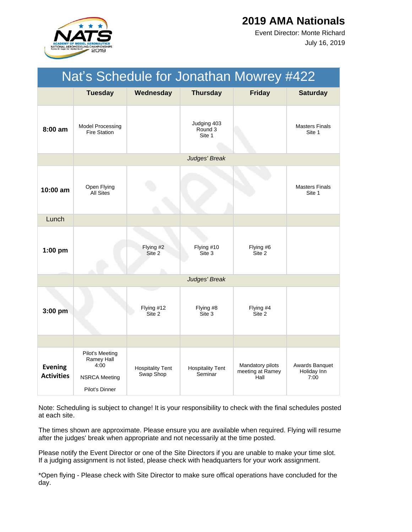

July 16, 2019 Event Director: Monte Richard

| Nat's Schedule for Jonathan Mowrey #422 |                                                                                 |                                      |                                    |                                              |                                       |  |
|-----------------------------------------|---------------------------------------------------------------------------------|--------------------------------------|------------------------------------|----------------------------------------------|---------------------------------------|--|
|                                         | <b>Tuesday</b>                                                                  | Wednesday                            | <b>Thursday</b>                    | <b>Friday</b>                                | <b>Saturday</b>                       |  |
| $8:00$ am                               | Model Processing<br><b>Fire Station</b>                                         |                                      | Judging 403<br>Round 3<br>Site 1   |                                              | <b>Masters Finals</b><br>Site 1       |  |
|                                         |                                                                                 |                                      | Judges' Break                      |                                              |                                       |  |
| 10:00 am                                | Open Flying<br><b>All Sites</b>                                                 |                                      |                                    |                                              | <b>Masters Finals</b><br>Site 1       |  |
| Lunch                                   |                                                                                 |                                      |                                    |                                              |                                       |  |
| $1:00$ pm                               |                                                                                 | Flying #2<br>Site 2                  | Flying #10<br>Site 3               | Flying #6<br>Site 2                          |                                       |  |
|                                         |                                                                                 |                                      | Judges' Break                      |                                              |                                       |  |
| 3:00 pm                                 |                                                                                 | Flying #12<br>Site 2                 | Flying #8<br>Site 3                | Flying #4<br>Site 2                          |                                       |  |
|                                         |                                                                                 |                                      |                                    |                                              |                                       |  |
| <b>Evening</b><br><b>Activities</b>     | Pilot's Meeting<br>Ramey Hall<br>4:00<br><b>NSRCA Meeting</b><br>Pilot's Dinner | <b>Hospitality Tent</b><br>Swap Shop | <b>Hospitality Tent</b><br>Seminar | Mandatory pilots<br>meeting at Ramey<br>Hall | Awards Banquet<br>Holiday Inn<br>7:00 |  |

Note: Scheduling is subject to change! It is your responsibility to check with the final schedules posted at each site.

The times shown are approximate. Please ensure you are available when required. Flying will resume after the judges' break when appropriate and not necessarily at the time posted.

Please notify the Event Director or one of the Site Directors if you are unable to make your time slot. If a judging assignment is not listed, please check with headquarters for your work assignment.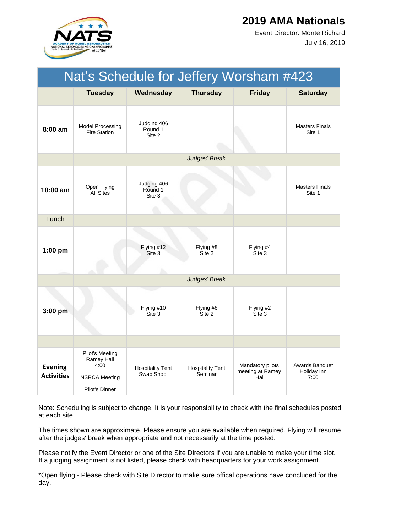

July 16, 2019 Event Director: Monte Richard

| Nat's Schedule for Jeffery Worsham #423 |                                                                                 |                                      |                                    |                                              |                                       |  |
|-----------------------------------------|---------------------------------------------------------------------------------|--------------------------------------|------------------------------------|----------------------------------------------|---------------------------------------|--|
|                                         | <b>Tuesday</b>                                                                  | Wednesday                            | <b>Thursday</b>                    | <b>Friday</b>                                | <b>Saturday</b>                       |  |
| 8:00 am                                 | <b>Model Processing</b><br><b>Fire Station</b>                                  | Judging 406<br>Round 1<br>Site 2     |                                    |                                              | <b>Masters Finals</b><br>Site 1       |  |
|                                         |                                                                                 |                                      | Judges' Break                      |                                              |                                       |  |
| $10:00$ am                              | Open Flying<br><b>All Sites</b>                                                 | Judging 406<br>Round 1<br>Site 3     |                                    |                                              | <b>Masters Finals</b><br>Site 1       |  |
| Lunch                                   |                                                                                 |                                      |                                    |                                              |                                       |  |
| $1:00$ pm                               |                                                                                 | Flying #12<br>Site 3                 | Flying #8<br>Site 2                | Flying #4<br>Site 3                          |                                       |  |
|                                         |                                                                                 |                                      | Judges' Break                      |                                              |                                       |  |
| 3:00 pm                                 |                                                                                 | Flying #10<br>Site 3                 | Flying #6<br>Site 2                | Flying #2<br>Site 3                          |                                       |  |
|                                         |                                                                                 |                                      |                                    |                                              |                                       |  |
| <b>Evening</b><br><b>Activities</b>     | Pilot's Meeting<br>Ramey Hall<br>4:00<br><b>NSRCA Meeting</b><br>Pilot's Dinner | <b>Hospitality Tent</b><br>Swap Shop | <b>Hospitality Tent</b><br>Seminar | Mandatory pilots<br>meeting at Ramey<br>Hall | Awards Banquet<br>Holiday Inn<br>7:00 |  |

Note: Scheduling is subject to change! It is your responsibility to check with the final schedules posted at each site.

The times shown are approximate. Please ensure you are available when required. Flying will resume after the judges' break when appropriate and not necessarily at the time posted.

Please notify the Event Director or one of the Site Directors if you are unable to make your time slot. If a judging assignment is not listed, please check with headquarters for your work assignment.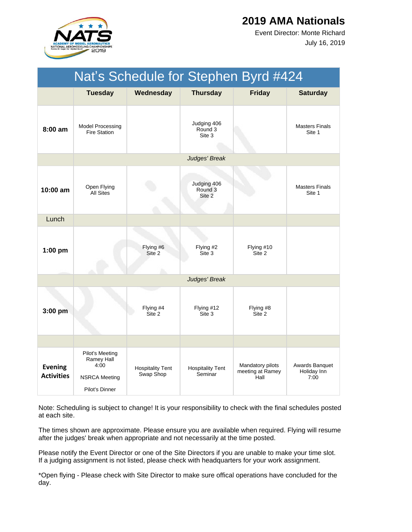

July 16, 2019 Event Director: Monte Richard

| Nat's Schedule for Stephen Byrd #424 |                                                                                 |                                      |                                    |                                              |                                       |  |
|--------------------------------------|---------------------------------------------------------------------------------|--------------------------------------|------------------------------------|----------------------------------------------|---------------------------------------|--|
|                                      | <b>Tuesday</b>                                                                  | Wednesday                            | <b>Thursday</b>                    | <b>Friday</b>                                | <b>Saturday</b>                       |  |
| $8:00$ am                            | Model Processing<br><b>Fire Station</b>                                         |                                      | Judging 406<br>Round 3<br>Site 3   |                                              | <b>Masters Finals</b><br>Site 1       |  |
|                                      |                                                                                 |                                      | Judges' Break                      |                                              |                                       |  |
| 10:00 am                             | Open Flying<br><b>All Sites</b>                                                 |                                      | Judging 406<br>Round 3<br>Site 2   |                                              | <b>Masters Finals</b><br>Site 1       |  |
| Lunch                                |                                                                                 |                                      |                                    |                                              |                                       |  |
| $1:00$ pm                            |                                                                                 | Flying #6<br>Site 2                  | Flying #2<br>Site 3                | Flying #10<br>Site 2                         |                                       |  |
|                                      |                                                                                 |                                      | Judges' Break                      |                                              |                                       |  |
| $3:00$ pm                            |                                                                                 | Flying #4<br>Site 2                  | Flying #12<br>Site 3               | Flying #8<br>Site 2                          |                                       |  |
|                                      |                                                                                 |                                      |                                    |                                              |                                       |  |
| <b>Evening</b><br><b>Activities</b>  | Pilot's Meeting<br>Ramey Hall<br>4:00<br><b>NSRCA Meeting</b><br>Pilot's Dinner | <b>Hospitality Tent</b><br>Swap Shop | <b>Hospitality Tent</b><br>Seminar | Mandatory pilots<br>meeting at Ramey<br>Hall | Awards Banquet<br>Holiday Inn<br>7:00 |  |

Note: Scheduling is subject to change! It is your responsibility to check with the final schedules posted at each site.

The times shown are approximate. Please ensure you are available when required. Flying will resume after the judges' break when appropriate and not necessarily at the time posted.

Please notify the Event Director or one of the Site Directors if you are unable to make your time slot. If a judging assignment is not listed, please check with headquarters for your work assignment.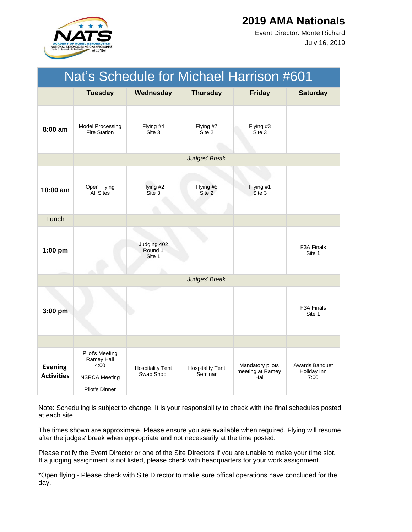

July 16, 2019 Event Director: Monte Richard

| Nat's Schedule for Michael Harrison #601 |                                                                                 |                                      |                                    |                                              |                                       |  |  |
|------------------------------------------|---------------------------------------------------------------------------------|--------------------------------------|------------------------------------|----------------------------------------------|---------------------------------------|--|--|
|                                          | <b>Tuesday</b>                                                                  | Wednesday                            | <b>Thursday</b>                    | <b>Friday</b>                                | <b>Saturday</b>                       |  |  |
| $8:00$ am                                | Model Processing<br><b>Fire Station</b>                                         | Flying #4<br>Site 3                  | Flying #7<br>Site 2                | Flying #3<br>Site 3                          |                                       |  |  |
|                                          |                                                                                 |                                      | Judges' Break                      |                                              |                                       |  |  |
| $10:00$ am                               | Open Flying<br><b>All Sites</b>                                                 | Flying #2<br>Site 3                  | Flying #5<br>Site 2                | Flying #1<br>Site 3                          |                                       |  |  |
| Lunch                                    |                                                                                 |                                      |                                    |                                              |                                       |  |  |
| $1:00$ pm                                |                                                                                 | Judging 402<br>Round 1<br>Site 1     |                                    |                                              | F3A Finals<br>Site 1                  |  |  |
|                                          |                                                                                 |                                      | Judges' Break                      |                                              |                                       |  |  |
| 3:00 pm                                  |                                                                                 |                                      |                                    |                                              | F <sub>3</sub> A Finals<br>Site 1     |  |  |
|                                          |                                                                                 |                                      |                                    |                                              |                                       |  |  |
| <b>Evening</b><br><b>Activities</b>      | Pilot's Meeting<br>Ramey Hall<br>4:00<br><b>NSRCA Meeting</b><br>Pilot's Dinner | <b>Hospitality Tent</b><br>Swap Shop | <b>Hospitality Tent</b><br>Seminar | Mandatory pilots<br>meeting at Ramey<br>Hall | Awards Banquet<br>Holiday Inn<br>7:00 |  |  |

Note: Scheduling is subject to change! It is your responsibility to check with the final schedules posted at each site.

The times shown are approximate. Please ensure you are available when required. Flying will resume after the judges' break when appropriate and not necessarily at the time posted.

Please notify the Event Director or one of the Site Directors if you are unable to make your time slot. If a judging assignment is not listed, please check with headquarters for your work assignment.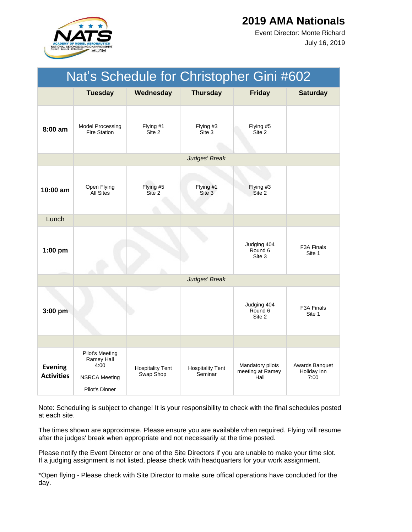

July 16, 2019 Event Director: Monte Richard

| Nat's Schedule for Christopher Gini #602 |                                                                                 |                                      |                                    |                                              |                                       |  |  |
|------------------------------------------|---------------------------------------------------------------------------------|--------------------------------------|------------------------------------|----------------------------------------------|---------------------------------------|--|--|
|                                          | <b>Tuesday</b>                                                                  | Wednesday                            | <b>Thursday</b>                    | <b>Friday</b>                                | <b>Saturday</b>                       |  |  |
| $8:00$ am                                | <b>Model Processing</b><br><b>Fire Station</b>                                  | Flying #1<br>Site 2                  | Flying #3<br>Site 3                | Flying #5<br>Site 2                          |                                       |  |  |
|                                          |                                                                                 |                                      | Judges' Break                      |                                              |                                       |  |  |
| $10:00$ am                               | Open Flying<br><b>All Sites</b>                                                 | Flying #5<br>Site 2                  | Flying #1<br>Site 3                | Flying #3<br>Site 2                          |                                       |  |  |
| Lunch                                    |                                                                                 |                                      |                                    |                                              |                                       |  |  |
| $1:00$ pm                                |                                                                                 |                                      |                                    | Judging 404<br>Round 6<br>Site 3             | F3A Finals<br>Site 1                  |  |  |
|                                          |                                                                                 |                                      | Judges' Break                      |                                              |                                       |  |  |
| $3:00$ pm                                |                                                                                 |                                      |                                    | Judging 404<br>Round 6<br>Site 2             | F <sub>3</sub> A Finals<br>Site 1     |  |  |
|                                          |                                                                                 |                                      |                                    |                                              |                                       |  |  |
| <b>Evening</b><br><b>Activities</b>      | Pilot's Meeting<br>Ramey Hall<br>4:00<br><b>NSRCA Meeting</b><br>Pilot's Dinner | <b>Hospitality Tent</b><br>Swap Shop | <b>Hospitality Tent</b><br>Seminar | Mandatory pilots<br>meeting at Ramey<br>Hall | Awards Banquet<br>Holiday Inn<br>7:00 |  |  |

Note: Scheduling is subject to change! It is your responsibility to check with the final schedules posted at each site.

The times shown are approximate. Please ensure you are available when required. Flying will resume after the judges' break when appropriate and not necessarily at the time posted.

Please notify the Event Director or one of the Site Directors if you are unable to make your time slot. If a judging assignment is not listed, please check with headquarters for your work assignment.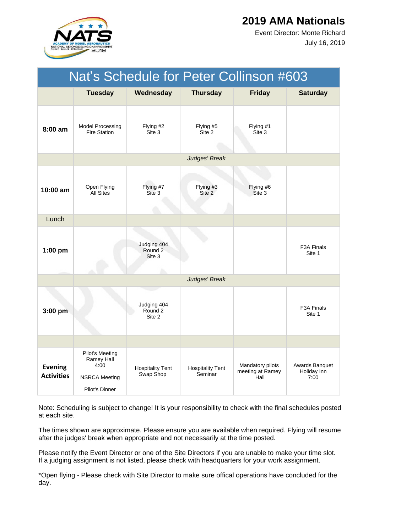

July 16, 2019 Event Director: Monte Richard

| Nat's Schedule for Peter Collinson #603 |                                                                                 |                                             |                                    |                                              |                                       |  |
|-----------------------------------------|---------------------------------------------------------------------------------|---------------------------------------------|------------------------------------|----------------------------------------------|---------------------------------------|--|
|                                         | <b>Tuesday</b>                                                                  | Wednesday                                   | <b>Thursday</b>                    | <b>Friday</b>                                | <b>Saturday</b>                       |  |
| $8:00$ am                               | <b>Model Processing</b><br><b>Fire Station</b>                                  | Flying #2<br>Site 3                         | Flying #5<br>Site 2                | Flying #1<br>Site 3                          |                                       |  |
|                                         |                                                                                 |                                             | Judges' Break                      |                                              |                                       |  |
| 10:00 am                                | Open Flying<br><b>All Sites</b>                                                 | Flying #7<br>Site 3                         | Flying #3<br>Site 2                | Flying #6<br>Site 3                          |                                       |  |
| Lunch                                   |                                                                                 |                                             |                                    |                                              |                                       |  |
| $1:00$ pm                               |                                                                                 | Judging 404<br>Round <sub>2</sub><br>Site 3 |                                    |                                              | F <sub>3</sub> A Finals<br>Site 1     |  |
|                                         |                                                                                 |                                             | Judges' Break                      |                                              |                                       |  |
| 3:00 pm                                 |                                                                                 | Judging 404<br>Round <sub>2</sub><br>Site 2 |                                    |                                              | F <sub>3</sub> A Finals<br>Site 1     |  |
|                                         |                                                                                 |                                             |                                    |                                              |                                       |  |
| <b>Evening</b><br><b>Activities</b>     | Pilot's Meeting<br>Ramey Hall<br>4:00<br><b>NSRCA Meeting</b><br>Pilot's Dinner | <b>Hospitality Tent</b><br>Swap Shop        | <b>Hospitality Tent</b><br>Seminar | Mandatory pilots<br>meeting at Ramey<br>Hall | Awards Banquet<br>Holiday Inn<br>7:00 |  |

Note: Scheduling is subject to change! It is your responsibility to check with the final schedules posted at each site.

The times shown are approximate. Please ensure you are available when required. Flying will resume after the judges' break when appropriate and not necessarily at the time posted.

Please notify the Event Director or one of the Site Directors if you are unable to make your time slot. If a judging assignment is not listed, please check with headquarters for your work assignment.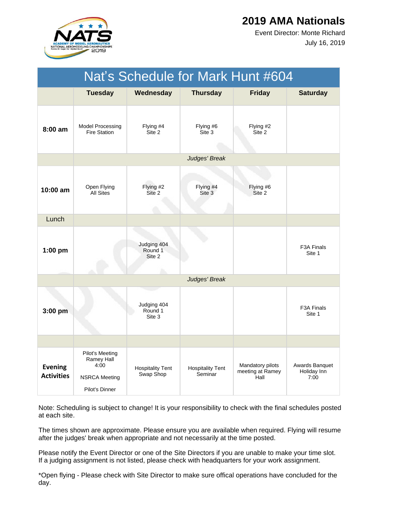

July 16, 2019 Event Director: Monte Richard

| Nat's Schedule for Mark Hunt #604   |                                                                                 |                                        |                                    |                                              |                                       |  |  |
|-------------------------------------|---------------------------------------------------------------------------------|----------------------------------------|------------------------------------|----------------------------------------------|---------------------------------------|--|--|
|                                     | <b>Tuesday</b>                                                                  | Wednesday                              | <b>Thursday</b>                    | <b>Friday</b>                                | <b>Saturday</b>                       |  |  |
| $8:00$ am                           | <b>Model Processing</b><br><b>Fire Station</b>                                  | Flying #4<br>Site 2                    | Flying #6<br>Site 3                | Flying #2<br>Site 2                          |                                       |  |  |
|                                     |                                                                                 |                                        | Judges' Break                      |                                              |                                       |  |  |
| $10:00$ am                          | Open Flying<br><b>All Sites</b>                                                 | Flying #2<br>Site 2                    | Flying #4<br>Site 3                | Flying #6<br>Site 2                          |                                       |  |  |
| Lunch                               |                                                                                 |                                        |                                    |                                              |                                       |  |  |
| $1:00$ pm                           |                                                                                 | Judging 404<br>Round 1<br>Site 2<br>h. |                                    |                                              | <b>F3A Finals</b><br>Site 1           |  |  |
|                                     |                                                                                 |                                        | Judges' Break                      |                                              |                                       |  |  |
| 3:00 pm                             |                                                                                 | Judging 404<br>Round 1<br>Site 3       |                                    |                                              | F3A Finals<br>Site 1                  |  |  |
|                                     |                                                                                 |                                        |                                    |                                              |                                       |  |  |
| <b>Evening</b><br><b>Activities</b> | Pilot's Meeting<br>Ramey Hall<br>4:00<br><b>NSRCA Meeting</b><br>Pilot's Dinner | <b>Hospitality Tent</b><br>Swap Shop   | <b>Hospitality Tent</b><br>Seminar | Mandatory pilots<br>meeting at Ramey<br>Hall | Awards Banquet<br>Holiday Inn<br>7:00 |  |  |

Note: Scheduling is subject to change! It is your responsibility to check with the final schedules posted at each site.

The times shown are approximate. Please ensure you are available when required. Flying will resume after the judges' break when appropriate and not necessarily at the time posted.

Please notify the Event Director or one of the Site Directors if you are unable to make your time slot. If a judging assignment is not listed, please check with headquarters for your work assignment.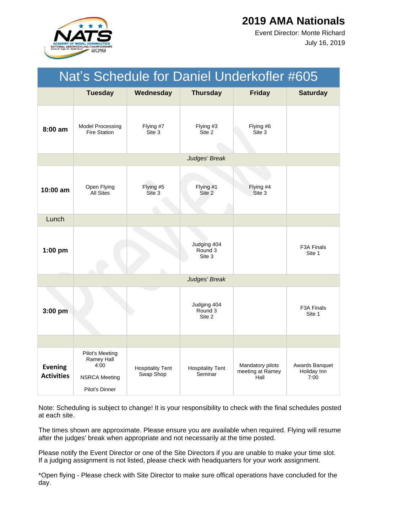

July 16, 2019 Event Director: Monte Richard

| Nat's Schedule for Daniel Underkofler #605 |                                                                                 |                                      |                                    |                                              |                                       |  |  |
|--------------------------------------------|---------------------------------------------------------------------------------|--------------------------------------|------------------------------------|----------------------------------------------|---------------------------------------|--|--|
|                                            | <b>Tuesday</b>                                                                  | Wednesday                            | <b>Thursday</b>                    | <b>Friday</b>                                | <b>Saturday</b>                       |  |  |
| 8:00 am                                    | <b>Model Processing</b><br><b>Fire Station</b>                                  | Flying #7<br>Site 3                  | Flying #3<br>Site 2                | Flying #6<br>Site 3                          |                                       |  |  |
|                                            |                                                                                 |                                      | Judges' Break                      |                                              |                                       |  |  |
| $10:00$ am                                 | Open Flying<br><b>All Sites</b>                                                 | Flying #5<br>Site 3                  | Flying #1<br>Site 2                | Flying #4<br>Site 3                          |                                       |  |  |
| Lunch                                      |                                                                                 |                                      |                                    |                                              |                                       |  |  |
| $1:00$ pm                                  |                                                                                 |                                      | Judging 404<br>Round 3<br>Site 3   |                                              | F <sub>3</sub> A Finals<br>Site 1     |  |  |
|                                            |                                                                                 |                                      | Judges' Break                      |                                              |                                       |  |  |
| $3:00$ pm                                  |                                                                                 |                                      | Judging 404<br>Round 3<br>Site 2   |                                              | F <sub>3</sub> A Finals<br>Site 1     |  |  |
|                                            |                                                                                 |                                      |                                    |                                              |                                       |  |  |
| <b>Evening</b><br><b>Activities</b>        | Pilot's Meeting<br>Ramey Hall<br>4:00<br><b>NSRCA Meeting</b><br>Pilot's Dinner | <b>Hospitality Tent</b><br>Swap Shop | <b>Hospitality Tent</b><br>Seminar | Mandatory pilots<br>meeting at Ramey<br>Hall | Awards Banquet<br>Holiday Inn<br>7:00 |  |  |

Note: Scheduling is subject to change! It is your responsibility to check with the final schedules posted at each site.

The times shown are approximate. Please ensure you are available when required. Flying will resume after the judges' break when appropriate and not necessarily at the time posted.

Please notify the Event Director or one of the Site Directors if you are unable to make your time slot. If a judging assignment is not listed, please check with headquarters for your work assignment.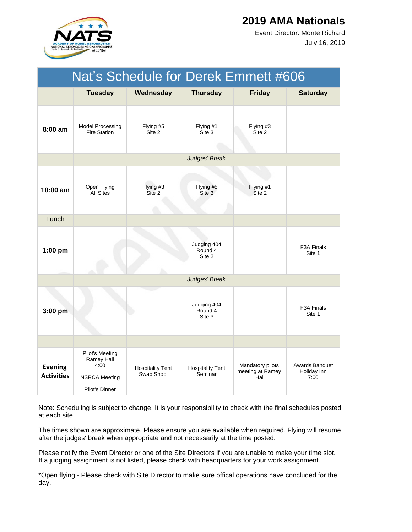

July 16, 2019 Event Director: Monte Richard

| Nat's Schedule for Derek Emmett #606 |                                                                                 |                                      |                                    |                                              |                                       |  |
|--------------------------------------|---------------------------------------------------------------------------------|--------------------------------------|------------------------------------|----------------------------------------------|---------------------------------------|--|
|                                      | <b>Tuesday</b>                                                                  | Wednesday                            | <b>Thursday</b>                    | <b>Friday</b>                                | <b>Saturday</b>                       |  |
| 8:00 am                              | <b>Model Processing</b><br><b>Fire Station</b>                                  | Flying #5<br>Site 2                  | Flying #1<br>Site 3                | Flying #3<br>Site 2                          |                                       |  |
|                                      |                                                                                 |                                      | Judges' Break                      |                                              |                                       |  |
| $10:00$ am                           | Open Flying<br><b>All Sites</b>                                                 | Flying #3<br>Site 2                  | Flying #5<br>Site 3                | Flying #1<br>Site 2                          |                                       |  |
| Lunch                                |                                                                                 |                                      |                                    |                                              |                                       |  |
| $1:00$ pm                            |                                                                                 |                                      | Judging 404<br>Round 4<br>Site 2   |                                              | F3A Finals<br>Site 1                  |  |
|                                      |                                                                                 |                                      | Judges' Break                      |                                              |                                       |  |
| 3:00 pm                              |                                                                                 |                                      | Judging 404<br>Round 4<br>Site 3   |                                              | F <sub>3</sub> A Finals<br>Site 1     |  |
|                                      |                                                                                 |                                      |                                    |                                              |                                       |  |
| <b>Evening</b><br><b>Activities</b>  | Pilot's Meeting<br>Ramey Hall<br>4:00<br><b>NSRCA Meeting</b><br>Pilot's Dinner | <b>Hospitality Tent</b><br>Swap Shop | <b>Hospitality Tent</b><br>Seminar | Mandatory pilots<br>meeting at Ramey<br>Hall | Awards Banquet<br>Holiday Inn<br>7:00 |  |

Note: Scheduling is subject to change! It is your responsibility to check with the final schedules posted at each site.

The times shown are approximate. Please ensure you are available when required. Flying will resume after the judges' break when appropriate and not necessarily at the time posted.

Please notify the Event Director or one of the Site Directors if you are unable to make your time slot. If a judging assignment is not listed, please check with headquarters for your work assignment.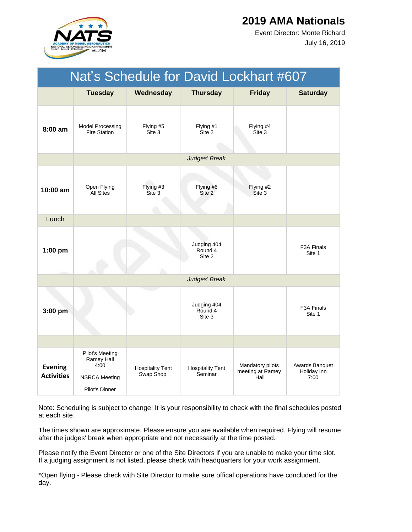

July 16, 2019 Event Director: Monte Richard

| Nat's Schedule for David Lockhart #607 |                                                                                 |                                      |                                    |                                              |                                       |  |
|----------------------------------------|---------------------------------------------------------------------------------|--------------------------------------|------------------------------------|----------------------------------------------|---------------------------------------|--|
|                                        | <b>Tuesday</b>                                                                  | Wednesday                            | <b>Thursday</b>                    | <b>Friday</b>                                | <b>Saturday</b>                       |  |
| 8:00 am                                | Model Processing<br><b>Fire Station</b>                                         | Flying #5<br>Site 3                  | Flying #1<br>Site 2                | Flying #4<br>Site 3                          |                                       |  |
|                                        |                                                                                 |                                      | Judges' Break                      |                                              |                                       |  |
| 10:00 am                               | Open Flying<br><b>All Sites</b>                                                 | Flying #3<br>Site 3                  | Flying #6<br>Site 2                | Flying #2<br>Site 3                          |                                       |  |
| Lunch                                  |                                                                                 |                                      |                                    |                                              |                                       |  |
| $1:00$ pm                              |                                                                                 |                                      | Judging 404<br>Round 4<br>Site 2   |                                              | F <sub>3</sub> A Finals<br>Site 1     |  |
|                                        |                                                                                 |                                      | Judges' Break                      |                                              |                                       |  |
| 3:00 pm                                |                                                                                 |                                      | Judging 404<br>Round 4<br>Site 3   |                                              | F3A Finals<br>Site 1                  |  |
|                                        |                                                                                 |                                      |                                    |                                              |                                       |  |
| <b>Evening</b><br><b>Activities</b>    | Pilot's Meeting<br>Ramey Hall<br>4:00<br><b>NSRCA Meeting</b><br>Pilot's Dinner | <b>Hospitality Tent</b><br>Swap Shop | <b>Hospitality Tent</b><br>Seminar | Mandatory pilots<br>meeting at Ramey<br>Hall | Awards Banquet<br>Holiday Inn<br>7:00 |  |

Note: Scheduling is subject to change! It is your responsibility to check with the final schedules posted at each site.

The times shown are approximate. Please ensure you are available when required. Flying will resume after the judges' break when appropriate and not necessarily at the time posted.

Please notify the Event Director or one of the Site Directors if you are unable to make your time slot. If a judging assignment is not listed, please check with headquarters for your work assignment.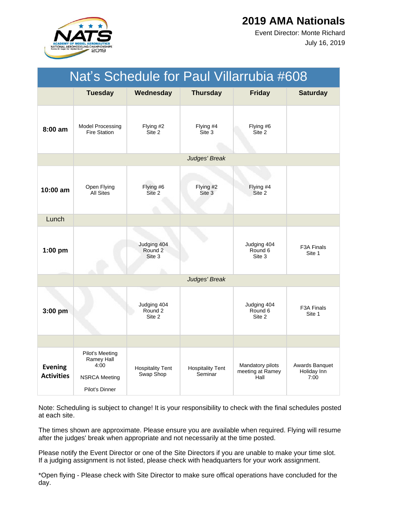

July 16, 2019 Event Director: Monte Richard

| Nat's Schedule for Paul Villarrubia #608 |                                                                                 |                                      |                                    |                                              |                                       |  |  |
|------------------------------------------|---------------------------------------------------------------------------------|--------------------------------------|------------------------------------|----------------------------------------------|---------------------------------------|--|--|
|                                          | <b>Tuesday</b>                                                                  | Wednesday                            | <b>Thursday</b>                    | <b>Friday</b>                                | <b>Saturday</b>                       |  |  |
| 8:00 am                                  | <b>Model Processing</b><br><b>Fire Station</b>                                  | Flying #2<br>Site 2                  | Flying #4<br>Site 3                | Flying #6<br>Site 2                          |                                       |  |  |
|                                          |                                                                                 |                                      | Judges' Break                      |                                              |                                       |  |  |
| 10:00 am                                 | Open Flying<br><b>All Sites</b>                                                 | Flying #6<br>Site 2                  | Flying #2<br>Site 3                | Flying #4<br>Site 2                          |                                       |  |  |
| Lunch                                    |                                                                                 |                                      |                                    |                                              |                                       |  |  |
| $1:00$ pm                                |                                                                                 | Judging 404<br>Round 2<br>Site 3     |                                    | Judging 404<br>Round 6<br>Site 3             | F3A Finals<br>Site 1                  |  |  |
|                                          |                                                                                 |                                      | Judges' Break                      |                                              |                                       |  |  |
| 3:00 pm                                  |                                                                                 | Judging 404<br>Round 2<br>Site 2     |                                    | Judging 404<br>Round 6<br>Site 2             | F <sub>3</sub> A Finals<br>Site 1     |  |  |
|                                          |                                                                                 |                                      |                                    |                                              |                                       |  |  |
| <b>Evening</b><br><b>Activities</b>      | Pilot's Meeting<br>Ramey Hall<br>4:00<br><b>NSRCA Meeting</b><br>Pilot's Dinner | <b>Hospitality Tent</b><br>Swap Shop | <b>Hospitality Tent</b><br>Seminar | Mandatory pilots<br>meeting at Ramey<br>Hall | Awards Banquet<br>Holiday Inn<br>7:00 |  |  |

Note: Scheduling is subject to change! It is your responsibility to check with the final schedules posted at each site.

The times shown are approximate. Please ensure you are available when required. Flying will resume after the judges' break when appropriate and not necessarily at the time posted.

Please notify the Event Director or one of the Site Directors if you are unable to make your time slot. If a judging assignment is not listed, please check with headquarters for your work assignment.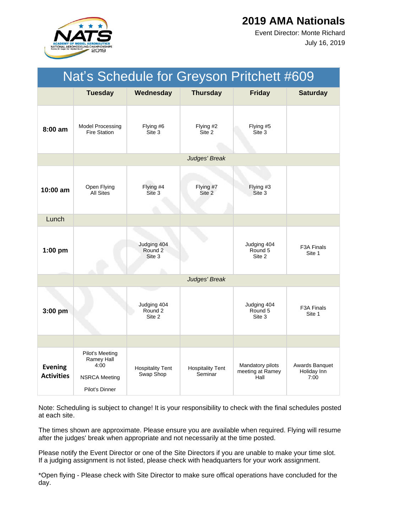

July 16, 2019 Event Director: Monte Richard

| Nat's Schedule for Greyson Pritchett #609 |                                                                                 |                                             |                                    |                                              |                                       |  |
|-------------------------------------------|---------------------------------------------------------------------------------|---------------------------------------------|------------------------------------|----------------------------------------------|---------------------------------------|--|
|                                           | <b>Tuesday</b>                                                                  | Wednesday                                   | <b>Thursday</b>                    | <b>Friday</b>                                | <b>Saturday</b>                       |  |
| $8:00$ am                                 | <b>Model Processing</b><br><b>Fire Station</b>                                  | Flying #6<br>Site 3                         | Flying #2<br>Site 2                | Flying #5<br>Site 3                          |                                       |  |
|                                           |                                                                                 |                                             | Judges' Break                      |                                              |                                       |  |
| $10:00$ am                                | Open Flying<br><b>All Sites</b>                                                 | Flying #4<br>Site 3                         | Flying #7<br>Site 2                | Flying #3<br>Site 3                          |                                       |  |
| Lunch                                     |                                                                                 |                                             |                                    |                                              |                                       |  |
| $1:00$ pm                                 |                                                                                 | Judging 404<br>Round <sub>2</sub><br>Site 3 |                                    | Judging 404<br>Round 5<br>Site 2             | F3A Finals<br>Site 1                  |  |
|                                           |                                                                                 |                                             | Judges' Break                      |                                              |                                       |  |
| $3:00$ pm                                 |                                                                                 | Judging 404<br>Round 2<br>Site 2            |                                    | Judging 404<br>Round 5<br>Site 3             | F <sub>3</sub> A Finals<br>Site 1     |  |
|                                           |                                                                                 |                                             |                                    |                                              |                                       |  |
| <b>Evening</b><br><b>Activities</b>       | Pilot's Meeting<br>Ramey Hall<br>4:00<br><b>NSRCA Meeting</b><br>Pilot's Dinner | <b>Hospitality Tent</b><br>Swap Shop        | <b>Hospitality Tent</b><br>Seminar | Mandatory pilots<br>meeting at Ramey<br>Hall | Awards Banquet<br>Holiday Inn<br>7:00 |  |

Note: Scheduling is subject to change! It is your responsibility to check with the final schedules posted at each site.

The times shown are approximate. Please ensure you are available when required. Flying will resume after the judges' break when appropriate and not necessarily at the time posted.

Please notify the Event Director or one of the Site Directors if you are unable to make your time slot. If a judging assignment is not listed, please check with headquarters for your work assignment.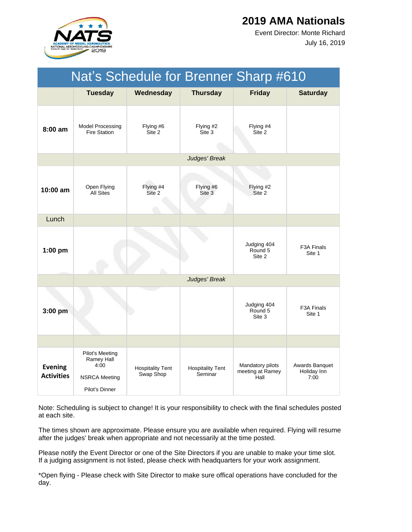

July 16, 2019 Event Director: Monte Richard

| Nat's Schedule for Brenner Sharp #610 |                                                                                 |                                      |                                    |                                              |                                       |  |
|---------------------------------------|---------------------------------------------------------------------------------|--------------------------------------|------------------------------------|----------------------------------------------|---------------------------------------|--|
|                                       | <b>Tuesday</b>                                                                  | Wednesday                            | <b>Thursday</b>                    | <b>Friday</b>                                | <b>Saturday</b>                       |  |
| $8:00 \text{ am}$                     | Model Processing<br><b>Fire Station</b>                                         | Flying #6<br>Site 2                  | Flying #2<br>Site 3                | Flying #4<br>Site 2                          |                                       |  |
|                                       |                                                                                 |                                      | Judges' Break                      |                                              |                                       |  |
| $10:00$ am                            | Open Flying<br><b>All Sites</b>                                                 | Flying #4<br>Site 2                  | Flying #6<br>Site 3                | Flying #2<br>Site 2                          |                                       |  |
| Lunch                                 |                                                                                 |                                      |                                    |                                              |                                       |  |
| $1:00$ pm                             |                                                                                 |                                      |                                    | Judging 404<br>Round 5<br>Site 2             | F3A Finals<br>Site 1                  |  |
|                                       |                                                                                 |                                      | Judges' Break                      |                                              |                                       |  |
| $3:00$ pm                             |                                                                                 |                                      |                                    | Judging 404<br>Round 5<br>Site 3             | F <sub>3</sub> A Finals<br>Site 1     |  |
|                                       |                                                                                 |                                      |                                    |                                              |                                       |  |
| <b>Evening</b><br><b>Activities</b>   | Pilot's Meeting<br>Ramey Hall<br>4:00<br><b>NSRCA Meeting</b><br>Pilot's Dinner | <b>Hospitality Tent</b><br>Swap Shop | <b>Hospitality Tent</b><br>Seminar | Mandatory pilots<br>meeting at Ramey<br>Hall | Awards Banquet<br>Holiday Inn<br>7:00 |  |

Note: Scheduling is subject to change! It is your responsibility to check with the final schedules posted at each site.

The times shown are approximate. Please ensure you are available when required. Flying will resume after the judges' break when appropriate and not necessarily at the time posted.

Please notify the Event Director or one of the Site Directors if you are unable to make your time slot. If a judging assignment is not listed, please check with headquarters for your work assignment.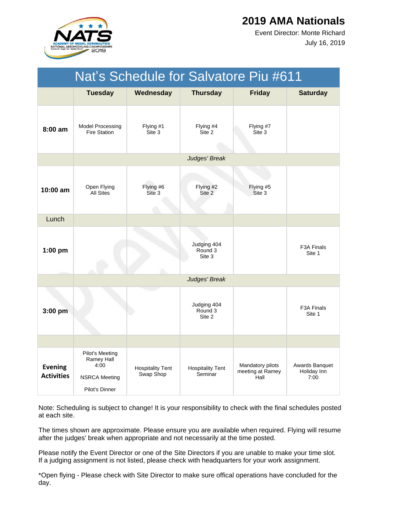

July 16, 2019 Event Director: Monte Richard

|                                     |                                                                                        |                                      |                                    | Nat's Schedule for Salvatore Piu #611        |                                       |
|-------------------------------------|----------------------------------------------------------------------------------------|--------------------------------------|------------------------------------|----------------------------------------------|---------------------------------------|
|                                     | <b>Tuesday</b>                                                                         | Wednesday                            | <b>Thursday</b>                    | <b>Friday</b>                                | <b>Saturday</b>                       |
| $8:00 \text{ am}$                   | <b>Model Processing</b><br><b>Fire Station</b>                                         | Flying #1<br>Site 3                  | Flying #4<br>Site 2                | Flying #7<br>Site 3                          |                                       |
|                                     |                                                                                        |                                      | Judges' Break                      |                                              |                                       |
| $10:00$ am                          | Open Flying<br><b>All Sites</b>                                                        | Flying #6<br>Site 3                  | Flying #2<br>Site 2                | Flying #5<br>Site 3                          |                                       |
| Lunch                               |                                                                                        |                                      |                                    |                                              |                                       |
| $1:00$ pm                           |                                                                                        |                                      | Judging 404<br>Round 3<br>Site 3   |                                              | F3A Finals<br>Site 1                  |
|                                     |                                                                                        |                                      | Judges' Break                      |                                              |                                       |
| $3:00$ pm                           |                                                                                        |                                      | Judging 404<br>Round 3<br>Site 2   |                                              | F <sub>3</sub> A Finals<br>Site 1     |
|                                     |                                                                                        |                                      |                                    |                                              |                                       |
| <b>Evening</b><br><b>Activities</b> | <b>Pilot's Meeting</b><br>Ramey Hall<br>4:00<br><b>NSRCA Meeting</b><br>Pilot's Dinner | <b>Hospitality Tent</b><br>Swap Shop | <b>Hospitality Tent</b><br>Seminar | Mandatory pilots<br>meeting at Ramey<br>Hall | Awards Banquet<br>Holiday Inn<br>7:00 |

Note: Scheduling is subject to change! It is your responsibility to check with the final schedules posted at each site.

The times shown are approximate. Please ensure you are available when required. Flying will resume after the judges' break when appropriate and not necessarily at the time posted.

Please notify the Event Director or one of the Site Directors if you are unable to make your time slot. If a judging assignment is not listed, please check with headquarters for your work assignment.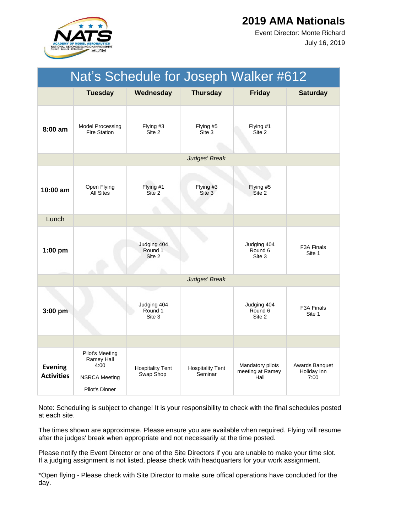

July 16, 2019 Event Director: Monte Richard

| Nat's Schedule for Joseph Walker #612 |                                                                                 |                                      |                                    |                                              |                                       |  |  |  |
|---------------------------------------|---------------------------------------------------------------------------------|--------------------------------------|------------------------------------|----------------------------------------------|---------------------------------------|--|--|--|
|                                       | <b>Tuesday</b>                                                                  | Wednesday                            | <b>Thursday</b>                    | <b>Friday</b>                                | <b>Saturday</b>                       |  |  |  |
| $8:00$ am                             | Model Processing<br><b>Fire Station</b>                                         | Flying #3<br>Site 2                  | Flying #5<br>Site 3                | Flying #1<br>Site 2                          |                                       |  |  |  |
|                                       | Judges' Break                                                                   |                                      |                                    |                                              |                                       |  |  |  |
| 10:00 am                              | Open Flying<br><b>All Sites</b>                                                 | Flying #1<br>Site 2                  | Flying #3<br>Site 3                | Flying #5<br>Site 2                          |                                       |  |  |  |
| Lunch                                 |                                                                                 |                                      |                                    |                                              |                                       |  |  |  |
| $1:00$ pm                             |                                                                                 | Judging 404<br>Round 1<br>Site 2     |                                    | Judging 404<br>Round 6<br>Site 3             | F3A Finals<br>Site 1                  |  |  |  |
|                                       | Judges' Break                                                                   |                                      |                                    |                                              |                                       |  |  |  |
| 3:00 pm                               |                                                                                 | Judging 404<br>Round 1<br>Site 3     |                                    | Judging 404<br>Round 6<br>Site 2             | F <sub>3</sub> A Finals<br>Site 1     |  |  |  |
|                                       |                                                                                 |                                      |                                    |                                              |                                       |  |  |  |
| <b>Evening</b><br><b>Activities</b>   | Pilot's Meeting<br>Ramey Hall<br>4:00<br><b>NSRCA Meeting</b><br>Pilot's Dinner | <b>Hospitality Tent</b><br>Swap Shop | <b>Hospitality Tent</b><br>Seminar | Mandatory pilots<br>meeting at Ramey<br>Hall | Awards Banquet<br>Holiday Inn<br>7:00 |  |  |  |

Note: Scheduling is subject to change! It is your responsibility to check with the final schedules posted at each site.

The times shown are approximate. Please ensure you are available when required. Flying will resume after the judges' break when appropriate and not necessarily at the time posted.

Please notify the Event Director or one of the Site Directors if you are unable to make your time slot. If a judging assignment is not listed, please check with headquarters for your work assignment.